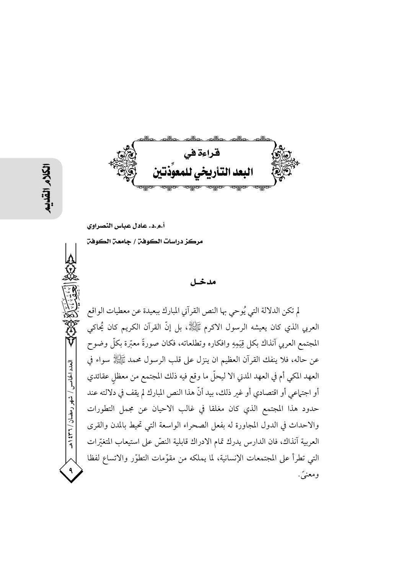قراءة في البعد التأريخي للما

أ.م.د. عادل عباس النصراوي

مركز دراسات الكوفن / جامعن الكوفن

#### مدخل

لم تكن الدلالة التي يُوحى بها النص القرآني المبارك ببعيدة عن معطيات الواقع العربي الذي كان يعيشه الرسول الاكرم ﷺ، بل إنَّ القرآن الكريم كان يُحاكي المجتمع العربي آنذاك بكل قِيَمِهِ وافكاره وتطلعاته، فكان صورةً معبّرة بكلّ وضوح عن حاله، فلا ينفك القرآن العظيم ان ينزل على قلب الرسول محمد ﷺ سواء في العهد المكي أم في العهد المدني الا ليحلُّ ما وقع فيه ذلك المجتمع من معظل عقائدي أو اجتماعي أو اقتصادي أو غير ذلك، بيد أنَّ هذا النص المبارك لم يقف في دلالته عند حدود هذا المجتمع الذي كان مغلقا في غالب الاحيان عن مجمل التطورات والاحداث في الدول المجاورة له بفعل الصحراء الواسعة التي تحيط بالمدن والقرى العربية آنذاك، فان الدارس يدرك تمام الادراك قابلية النصّ على استيعاب المتغيّرات التي تطرأ على المجتمعات الإنسانية، لما يملكه من مقوَّمات التطوَّر والاتساع لفظا ومعنيَّ.

العدد الخامس / شهر رمضان / ۳۲ ه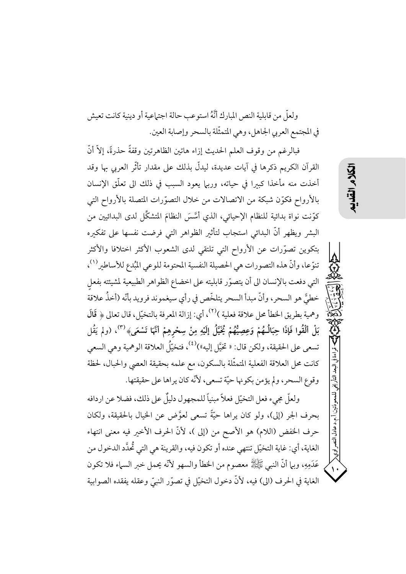ولعلَّ من قابلية النص المبارك أنَّهُ استو عب حالة اجتماعية أو دينية كانت تعيش في المجتمع العربي الجاهل، وهي المتمثّلة بالسحر وإصابة العين.

فبالرغم من وقوف العلم الحديث إزاء هاتين الظاهرتين وقفةً حذرةً، إلاَّ أنَّ القرآن الكريم ذكرها في آيات عديدة، ليدلُّ بذلك على مقدار تأثُّر العربي بها وقد أخذت منه مأخذا كبرا في حياته، وربيا يعود السبب في ذلك الى تعلَّق الإنسان بالأرواح فكوّن شبكة من الاتصالات من خلال التصوّرات المتصلة بالأرواح التي كوَّنت نواة بدائية للنظام الإحيائي، الذي أُسَّسَ النظامَ المتشكِّل لدى البدائيين من البشر ويظهر أنَّ البدائي استجاب لتأثير الظواهر التي فرضت نفسها على تفكيره بتكوين تصوَّرات عن الأرواح التي تلتقي لدى الشعوب الأكثر اختلافا والأكثر تنوَّعا، وأنَّ هذه التصورات هي الحصيلة النفسية المحتومة للوعي المُبدع للأساطير (١)، التي دفعت بالإنسان الى أن يتصوّر قابليته على اخضاع الظواهر الطبيعية لمشيئته بفعل خطيَّ هو السحر، وأنَّ مبدأ السحر يتلخَّص في رأي سيغموند فرويد بأنَّه (أخذُ علاقة وهمية بطريق الخطأ محل علاقة فعلية )(٢)، أي: إزالة المعرفة بالتخيّل، قال تعالى ﴿ قَالَ بَلْ أَلْقُوا فَإِذَا حِبَالُـهُمْ وَعِصِيُّهُمْ يُخَيَّلُ إِلَيْهِ مِنْ سِحْرِهِمْ أَنَّهَا تَسْعَى﴾ (")، (ولم يَقُل تسعى على الحقيقة، ولكن قال: « تخيَّل إليه»)<sup>(٤)</sup>، فتخيَّلُ العلاقة الوهمية وهي السعي كانت محل العلاقة الفعلية المتمثَّلة بالسكون، مع علمه بحقيقة العصي والحبال، لحظة وقوع السحر، ولم يؤمن بكونها حيَّة تسعى، لأنَّه كان يراها على حقيقتها.

ولعلَّ مجيء فعل التخيِّل فعلاً مبنياً للمجهول دليلٌ على ذلك، فضلا عن اردافه بحرف الجر (إلى)، ولو كان يراها حيَّةً تسعى لعوَّض عن الخيال بالحقيقة، ولكان حرف الخفض (اللام) هو الأصح من (إلى )، لأنَّ الحرف الأخير فيه معنى انتهاء الغاية، أي: غاية التخيّل تنتهي عنده أو تكون فيه، والقرينة هي التي تُّحدَّد الدخول من عَدَمِهِ، وبها أنَّ النبي ﷺ معصوم من الخطأ والسهو لأنَّه يحمل خبر السهاء فلا تكون الغاية في الحرف (الى) فيه، لأنَّ دخول التخيَّل في تصوَّر النبيِّ وعقله يفقده الصوابية البعد التأريخ للمعوذتين

أ.م.د عادل النصر اوي<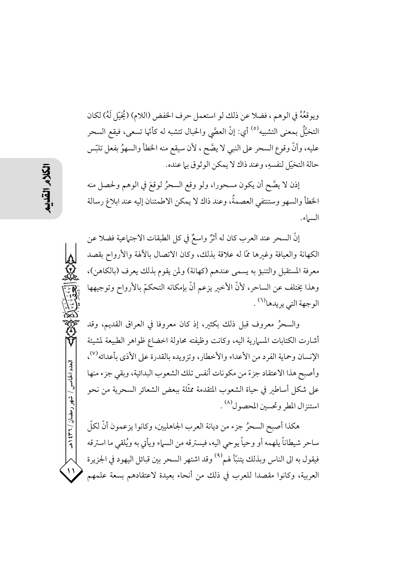ويوقعُهُ في الوهم ، فضلا عن ذلك لو استعمل حرف الخفض (اللام) (يُخيّل لَهُ) لكان التخيَّلُ بمعنى التشبيه<sup>(٥)</sup> أي: إنَّ العصَّى والحبال تتشبه له كأنَّها تسعى، فيقع السحر عليه، وأنَّ وقوع السحر على النبي لا يصَّح ، لأن سيقع منه الخطأ والسهوُ بفعل تلبَّس حالة التخيّل لنفسهِ، وعند ذاك لا يمكن الوثوقي با عنده.

إذن لا يصَّح أن يكون مسحورا، ولو وقع السحرُ لوقعَ في الوهم ولحصل منه الخطأ والسهو وستنتفي العصمةُ، وعند ذاك لا يمكن الاطمئنان إليه عند ابلاغ رسالة السياء.

إنَّ السحر عند العرب كان له أثرٌ واسعٌ في كل الطبقات الاجتماعية فضلا عن الكهانة والعيافة وغيرها ممّا له علاقة بذلك، وكان الاتصال بالألهة والأرواح بقصد معرفة المستقبل والتنبؤ به يسمى عندهم (كهانة) ولمن يقوم بذلك يعرف (بالكاهن)، وهذا يختلف عن الساحر، لأنَّ الأخير يزعم أنَّ بإمكانه التحكمّ بالأرواح وتوجيهها الوجهة التي يريدها<sup>(٦)</sup> .

والسحرُ معروف قبل ذلك بكثير، إذ كان معروفًا في العراق القديم، وقد أشارت الكتابات المسهارية اليه، وكانت وظيفته محاولة اخضاع ظواهر الطبيعة لمشيئة الإنسان وحماية الفرد من الأعداء والأخطار، وتزويده بالقدرة على الأذى بأعدائه<sup>(٧)</sup>، وأصبح هذا الاعتقاد جزءً من مكونات أنفس تلك الشعوب البدائية، وبقى جزء منها على شكل أساطير في حياة الشعوب المتقدمة ممثَّلة ببعض الشعائر السحرية من نحو استنزال المطر وتحسين المحصول<sup>(٨)</sup> .

هكذا أصبح السحرُ جزء من ديانة العرب الجاهليين، وكانوا يزعمون أنَّ لكلَّ إ ساحر شيطاناً يلهمه أو وحياً يوحى اليه، فيسترقه من السماء ويأتي به ويُلقى ما استرقه فيقول به الى الناس وبذلك يتنبّأ لهم<sup>(٩)</sup> وقد اشتهر السحر بين قبائل اليهود في الجزيرة العربية، وكانوا مقصدا للعرب في ذلك من أنحاء بعيدة لاعتقادهم بسعة علمهم

العدد الخامس / شهر رمضان / ۳۶۲ هـ

 $\frac{1}{2}$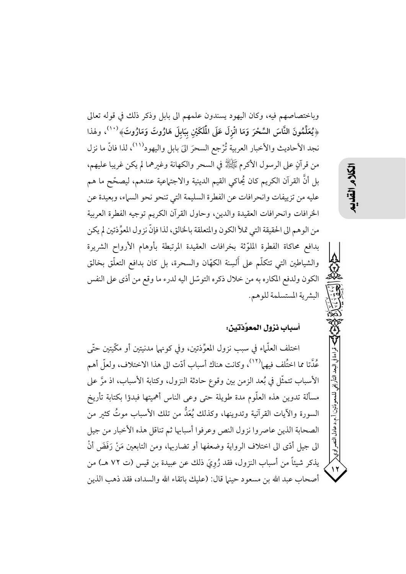وباختصاصهم فيه، وكان اليهود يسندون علمهم الى بابل وذكر ذلك في قوله تعالى ﴿يُعَلِّمُونَ النَّاسَ السِّحْرَ وَمَا انْزِلَ عَلَى الْمُلَكَيْنِ بِبَابِلَ هَارُوتَ وَمَارُوتَ﴾ `` `، ولهذا نجد الأحاديث والأخبار العربية تُرْجع السحرَ الىَ بابل واليهود'```، لذا فانّ ما نزل من قرآنٍ على الرسول الأكرم ﷺ في السحر والكهانة وغيرهما لم يكن غريبا عليهم، بل أنَّ القرآن الكريم كان يُحاكي القيم الدينية والاجتماعية عندهم، ليصحّح ما هم عليه من تزييفات وانحرافات عن الفطرة السليمة التي تنحو نحو السباء، وبعيدة عن الخرافات وانحرافات العقيدة والدين، وحاول القرآن الكريم توجيه الفطرة العربية من الوهم الى الحقيقة التي تملأ الكون والمتعلقة بالخالق، لذا فإنَّ نزول المعوِّذتين لم يكن بدافع محاكاة الفطرة الملوّثة بخرافات العقيدة المرتبطة بأوهام الأرواح الشريرة والشياطين التي تتكلَّم على أَلسِنة الكهَّان والسحرة، بل كان بدافع التعلُّق بخالق الكون ولدفع المكاره به من خلال ذكره التوسّل اليه لدرء ما وقع من أذى على النفس البشرية المستسلمة للوهم.

# أسباب نزول المعوِّذتين:

اختلف العلَّماء في سبب نزول المعوِّذتين، وفي كونهما مدنيتين أو مكَّيتين حتَّى عُدَّتا مما اختُلف فيهما````، وكانت هناك أسباب أدّت الى هذا الاختلاف، ولعلّ أهم الأسباب تتمثَّل في بُعد الزمن بين وقوع حادثة النزول، وكتابة الأسباب، اذ مرَّ على مسألة تدوين هذه العلّوم مدة طويلة حتى وعى الناس أهميتها فبدؤا بكتابة تأريخ السورة والآيات القرآنية وتدوينها، وكذلك يُعَدُّ من تلك الأسباب موتُ كثير من الصحابة الذين عاصروا نزول النص وعرفوا أسبابها ثم تناقل هذه الأخبار من جيل الى جيل أدَّى الى اختلاف الرواية وضعفها أو تضاربها، ومن التابعين مَنْ رَفَضَ أنْ يذكر شيئاً من أسباب النزول، فقد رُوِيَ ذلك عن عبيدة بن قيس (ت ٧٢ هـ) من أصحاب عبد الله بن مسعود حينها قال: (عليك باتقاء الله والسداد، فقد ذهب الذين

أ.م.د عادل النصر اوي<

 $\lambda$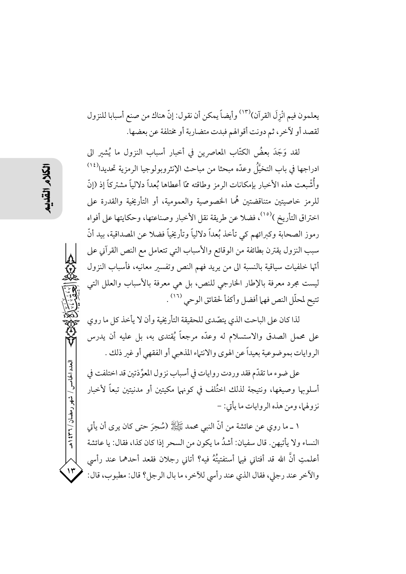يعلمون فيم انْزِلَ القرآن)(١٣) وأيضاً يمكن أن نقول: إنَّ هناك من صنع أسبابا للنزول لقصد أو لأخر، ثم دونت أقوالهم فبدت متضاربة أو مختلفة عن بعضها.

لقد وَجَدَ بعضُ الكتَّاب المعاصرين في أخبار أسباب النزول ما يُشير الي ادراجها في باب التخيَّلُ وعدَّه مبحثا من مباحث الإنثروبولوجيا الرمزية تحديدا<sup>(١٤)</sup> وأُشْبعت هذه الأخبار بإمكانات الرمز وطاقته ممَّا أعطاها بُعداً دلالياً مشتركاً إذ (إنَّ للرمز خاصيتين متناقضتين هُما الخصوصية والعمومية، أو التأريخية والقدرة على اختراق التأريخ )<sup>(١٥)</sup>، فضلا عن طريقة نقل الأخبار وصناعتها، وحكايتها على أفواه رموز الصحابة وكبرائهم كي تأخذ بُعداً دلالياً وتأريخياً فضلا عن المصداقية، بيد أنّ سبب النزول يقترن بطائفة من الوقائع والأسباب التي تتعامل مع النص القرآني على أتَّها خلفيات سياقية بالنسبة الى من يريد فهم النص وتفسير معانيه، فأسباب النزول ليست مجرد معرفة بالإطار الخارجي للنص، بل هي معرفة بالأسباب والعلل التي تتيح لمحلّل النص فهما أفضل وأكفأ لحقائق الوحي <sup>(١٦)</sup> .

لذا كان على الباحت الذي يتصّدى للحقيقة التأريخية وأن لا يأخذ كل ما روى على محمل الصدق والاستسلام له وعدّه مرجعاً يُقتدى به، بل عليه أن يدرس الروايات بموضوعية بعيداً عن الهوى والانتهاء المذهبي أو الفقهي أو غير ذلك .

على ضوء ما تقدَّم فقد وردت روايات في أسباب نزول المعوِّذتين قد اختلفت في أسلوبها وصيغها، ونتيجة لذلك اختُلف في كونهما مكيتين أو مدنيتين تبعاً لأخبار نز ولها، ومن هذه الروايات ما يأتي: –

١ ــ ما روى عن عائشة من أنَّ النبي محمد ﷺ (سُحِرَ حتى كان يرى أن يأتي النساء ولا يأتيهن. قال سفيان: أشدُ ما يكون من السحر إذا كان كذا، فقال: يا عائشة أعلمتِ أنَّ الله قد أفتاني فيها أستفتيتُهُ فيه؟ أتاني رجلان فقعد أحدهما عند رأسي والأخر عند رجلي، فقال الذي عند رأسي للأخر، ما بال الرجل؟ قال: مطبوب، قال:

العدد الخامس / شهر رمضان / ۳۶۲ هـ

 $\mathcal{N}$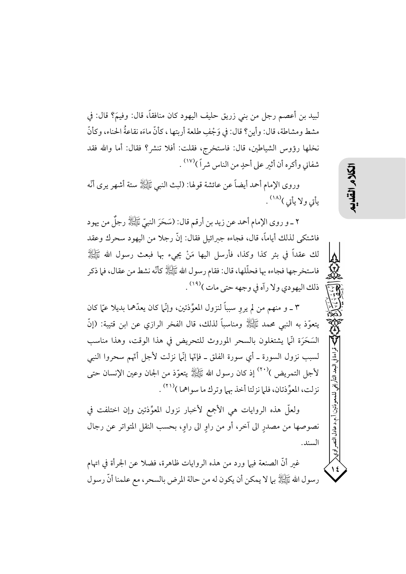لبيد بن أعصم رجل من بني زريق حليف اليهود كان منافقاً، قال: وفيم؟ قال: في مشط ومشاطة، قال: وأين؟ قال: في وَجْفِ طلعة أربتها ، كأنَّ ماءَه نقاعةُ الحناء، وكأنَّ نخلها رؤوس الشياطين، قال: فاستخرج، فقلت: أفلا تنشر؟ فقال: أما والله فقد شفاني وأكره أن أثير على أحدٍ من الناس شراً)<sup>(١٧)</sup> .

وروى الإمام أحمد أيضاً عن عائشة قولها: (لبث النبي ﷺ ستة أشهر يرى أنَّه يأتي ولا يأتي )<sup>(١٨)</sup> .

٢ ـ و روى الإمام أحمد عن زيد بن أرقم قال: (سَحَرَ النبيِّ ﷺ رجلٌ من يهود فاشتكي لذلك أياماً، قال، فجاءه جبرائيل فقال: إنَّ رجلًا من اليهود سحرك وعقد لك عقداً في بئر كذا وكذا، فأرسل اليها مَنْ يجيء بها فبعث رسول الله ﷺ فاستخرجها فجاءه بها فحلَّلها، قال: فقام رسول الله عََيَّإِلَّا ﴾ كأنَّه نشط من عقال، فما ذكر ذلك اليهودي ولا رآه في وجهه حتى مات )<sup>(١٩)</sup> .

٣ ـ و منهم من لم يروِ سبباً لنزول المعوِّذتين، وإنَّما كان يعدَّهما بديلا عمَّا كان يتعوَّذ به النبي محمد ﷺ ومناسباً لذلك، قال الفخر الرازي عن ابن قتيبة: (إنَّ السَخَرَةِ انَّها يشتغلون بالسحرِ الموروث للتحريض في هذا الوقت، وهذا مناسب لسبب نزول السورة ـ أي سورة الفلق ـ فإنّها إنّها نزلت لأجل أنّهم سحروا النبي لأجل التمريض )``` إذ كان رسول الله ﷺ يتعوَّذ من الجان وعين الإنسان حتى نزلت، المعوِّذتان، فلما نزلتا أخذ بهما وترك ما سواهما )(٢١) .

ولعلَّ هذه الروايات هي الأجمع لأخبار نزول المعوِّذتين وإن اختلفت في نصوصها من مصدرٍ الى آخر، أو من راوٍ الى راوٍ، بحسب النقل المتواتر عن رجال السند.

غير أنَّ الصنعة فيها ورد من هذه الروايات ظاهرة، فضلا عن الجرأة في اتهام رسول الله ﷺ بها لا يمكن أن يكون له من حالة المرض بالسحر، مع علمنا أنَّ رسول 以久

..د عادل النصر اوي<

 $\frac{1}{2}$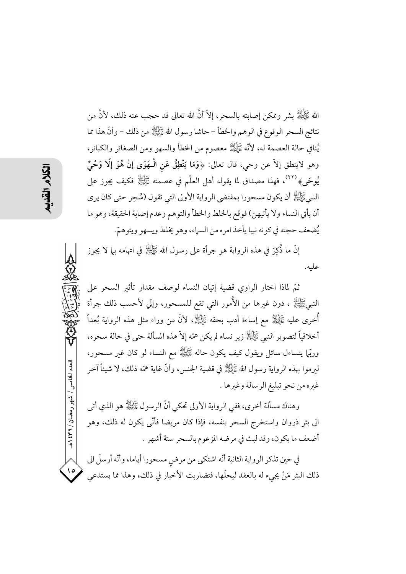الله ﷺ بشر وممكن إصابته بالسحر، إلاَّ أنَّ الله تعالى قد حجب عنه ذلك، لأنَّ من نتائج السحر الوقوع في الوهم والخطأ – حاشا رسول الله ﷺ من ذلك – وأنَّ هذا مما يُنافي حالة العصمة له، لأنَّه ﷺ معصوم من الخطأ والسهو ومن الصغائر والكبائر، وهو لاينطق إلاَّ عن وحي، قال تعالى: ﴿وَمَا يَنْطِقُ عَنِ الْـهَوَى إِنْ هُوَ إِلَّا وَحْيٌ يُوحَى﴾ <sup>(٢٢)</sup>، فهذا مصداق لما يقوله أهل العلّم في عصمته ﷺ فكيف يجوز على النبيﷺ أن يكون مسحورا بمقتضى الرواية الأولى التي تقول (سُحِر حتى كان يرى أن يأتي النساء ولا يأتيهن) فوقع بالخلط والخطأ والتوهم وعدم إصابة الحقيقة، وهو ما يُضعف حجته في كونه نبيا يأخذ امره من السماء، وهو يخلط ويسهو ويتوهمّ.

إِنَّ ما ذُكِرَ في هذه الرواية هو جرأة على رسول الله ﷺ في اتهامه بـما لا يجوز عليه.

ثمّ لماذا اختار الراوي قضية إتيان النساء لوصف مقدار تأثير السحر على النبيﷺ ، دون غيرها من الأُمور التي تقع للمسحور، وإِنّي لأحسب ذلك جرأة أُخرى عليه ﷺ مع إساءة أدب بحقه ﷺ، لأنَّ من وراء مثل هذه الرواية بُعداً أخلاقياً لتصوير النبي ﷺ زير نساء لم يكن همّه إلاّ هذه المسألة حتى في حالة سحره، وربَّمِ يتساءل سائل ويقول كيف يكون حاله ﷺ مع النساء لو كان غير مسحور، لبرموا بهذه الرواية رسول الله ﷺ في قضية الجنس، وأنَّ غاية همَّه ذلك، لا شيئاً آخر غيره من نحو تبليغ الرسالة وغيرها .

وهناك مسألة أخرى، ففي الرواية الأولى تحكي أنَّ الرسول ﷺ هو الذي أتي الى بئر ذروان واستخرج السحر بنفسه، فإذا كان مريضا فأنَّى يكون له ذلك، وهو أضعف ما يكون، وقد لبث في مرضه المزعوم بالسحر ستة أشهر .

في حين تذكر الرواية الثانية أنّه اشتكى من مرض مسحورا أياما، وأنّه أرسلَ الى ذلك البئر مَنْ يجيء له بالعقد ليحلَّها، فتضاربت الأخبار في ذلك، وهذا مما يستدعي

العدد الخامس / شهر رمضان / ۲۲۱ ه

 $\frac{1}{2}$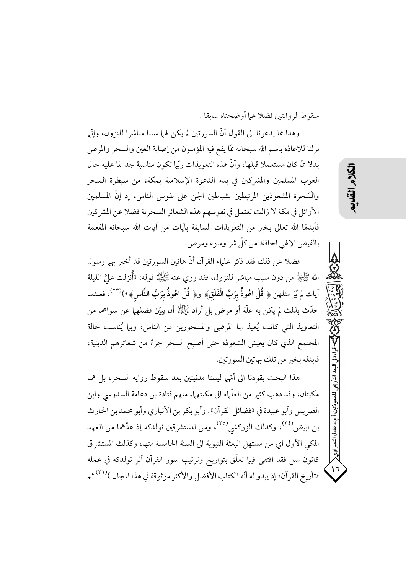سقوط الرو ايتين فضلا عيا أو ضحناه سابقا .

وهذا مما يدعونا الى القول أنَّ السورتين لم يكن لهما سببا مباشرا للنزول، وإنَّما نزلتا للاعاذة باسم الله سبحانه ممَّا يقع فيه المؤمنون من إصابة العين والسحر والمرض بدلا ممَّا كان مستعملا قبلها، وأنَّ هذه التعويذات ربِّلم تكون مناسبة جدا لما عليه حال العرب المسلمين والمشركين في بدء الدعوة الإسلامية بمكة، من سيطرة السحر والَسَحرة المشعوذين المرتبطين بشياطين الجن على نفوس الناس، إذ إنَّ المسلمين الأوائل في مكة لا زالت تعتمل في نفوسهم هذه الشعائر السحرية فضلا عن المشركين فأبدلها الله تعالى بخبر من التعويذات السابقة بآيات من آيات الله سبحانه المفعمة بالفيض الإلهي الحافظ من كلِّ شر وسوء ومرض.

فضلا عن ذلك فقد ذكر علماء القرآن أنَّ هاتين السورتين قد أخبر بهما رسول الله ﷺ من دون سبب مباشر للنزول، فقد روي عنه ﷺ قوله: «أُنزِلت عليَّ الليلة آيات لم يُرَ مثلهن ﴿ قُلْ اعُوذُ بِرَبِّ الْفَلَقِ﴾ و﴿ قُلْ اعُوذُ بِرَبِّ النَّاسِ﴾»)(٢٣)، فعندما حدَّث بذلك لم يكن به علَّة أو مرض بل أراد ﷺ أن يبيِّن فضلهما عن سواهما من التعاويذ التي كانت يُعيذ بها المرضى والمسحورين من الناس، وبها يُناسب حالة المجتمع الذي كان يعيش الشعوذة حتى أصبح السحر جزءً من شعائرهم الدينية، فابدله بخبر من تلك بهاتين السورتين.

هذا البحث يقودنا الى أتَّها ليستا مدنيتين بعد سقوط رواية السحر، بل هما مكيتان، وقد ذهب كثير من العلَّماء الى مكيتهما، منهم قتادة بن دعامة السدوسي وابن الضريس وأبو عبيدة في «فضائل القرآن». وأبو بكر بن الأنباري وأبو محمد بن الحارث بن ابيض<sup>(٢٤)</sup>، وكذلك الزركشي<sup>(٢٥)</sup>، ومن المستشرقين نولدكه إذ عدَّهما من العهد المكي الأول اي من مستهل البعثة النبوية إلى السنة الخامسة منها، وكذلك المستشرق كانون سل فقد اقتفى فيها تعلَّق بتواريخ وترتيب سور القرآن أثر نولدكه في عمله «تأريخ القرآن» إذ يبدو له أنّه الكتاب الأفضل والأكثر موثوقة في هذا المجال )<sup>(٢٦)</sup> ثم 习人

قراءة في البعد التأريخ

أ. م.د عادل النصر اوي<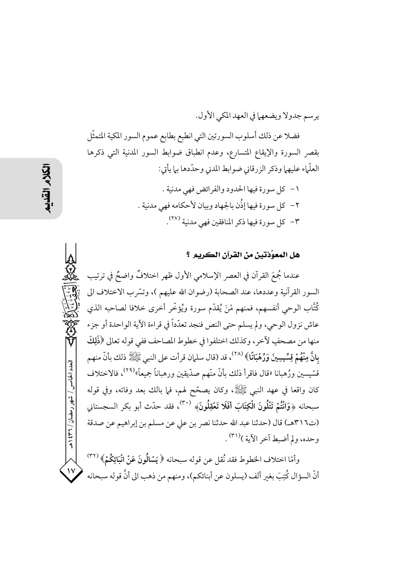يرسم جدولا ويضعهما في العهد المكي الأول. فضلا عن ذلك أسلوب السورتين التي انطبع بطابع عموم السور المكية المتمثّل بقصر السورة والإيقاع المتسارع، وعدم انطباق ضوابط السور المدنية التي ذكرها العلَّماء عليهما وذكر الزرقاني ضوابط المدني وحدَّدها بها يأتي:

> ١ - كل سورة فيها الحدود والفرائض فهي مدنية . ٢ – كل سورةٍ فيها إذُّن بالجهاد وييان لأحكامه فهي مدنية . ٣- كل سورة فيها ذكر المنافقين فهي مدنية ٢٧٪.

#### هل المعوِّذتين من القرآن الكريم ؟

عندما جُمعَ القرآن في العصر الإسلامي الأول ظهر اختلافٌ واضحٌ في ترتيب السور القرآنية وعددها، عند الصحابة (رضوان الله عليهم )، وتسَّرب الاختلاف الى كُتَّاب الوحي أنفسهم، فمنهم مْنَ يُقدّم سورة ويُؤخّر أخرى خلافا لصاحبه الذي عاش نزول الوحي، ولم يسلم حتى النص فنجد تعدّداً في قراءة الآية الواحدة أو جزء منها من مصحفٍ لأخر، وكذلك اختلفوا في خطوط المصاحف ففي قوله تعالى ﴿ذَلِكَ بِانَّ مِنْهُمْ قِسِّيسِينَ وَرُهْبَانًا﴾ <sup>(٢٨)</sup>، قد (قال سلمان قرأت على النبي ﷺ ذلك بأنَّ منهم قسَّيسين ورُهبانا «قال فاقرأ ذلك بأنَّ منَّهم صدَّيقين ورهباناً جميعاً»<sup>(٢٩)</sup>، فالاختلاف كان واقعا في عهد النبي ﷺ، وكان يصحّح لهم، فما بالك بعد وفاته، وفي قوله سبحانه ﴿وَانْتُمْ تَتْلُونَ الْكِتَابَ أَفَلَا تَعْقِلُونَ﴾ ```، فقد حدّث أبو بكر السجستاني (ت٣١٦هـ) قال (حدثنا عبد الله حدثنا نصر بن على عن مسلم بن إبراهيم عن صدقة وحده، ولم أضبط آخر الآية )(٣١) .

وأمّا اختلاف الخطوط فقد نُقل عن قوله سبحانه ﴿ يَسْالُونَ عَنْ انْبَائِكُمْ﴾ (٣٢) أنَّ السؤال كُتِبَ بغير ألف (يسلون عن أبنائكم)، ومنهم من ذهب الى أنَّ قوله سبحانه

العدد الخامس / شهر رمضان / ۲۳۱ ه

 $\mathcal{N}$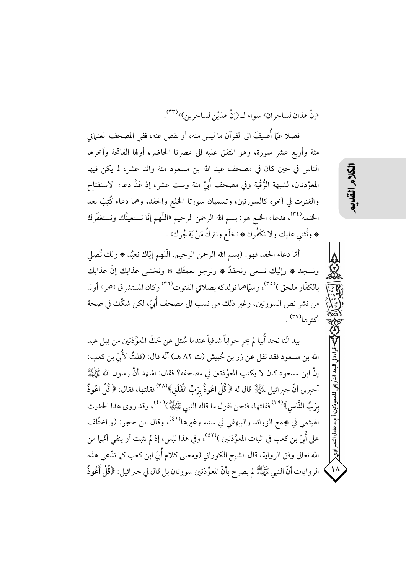«إِنْ هذانِ لساحرِ انِ» سواءِ لـ (إِنْ هذيْنِ لساحرِ ين)» (٣٣) .

فضلا عمّا أُضيفَ الى القرآن ما ليس منه، أو نقص عنه، ففي المصحف العثماني مئة وأربع عشر سورة، وهو المتفق عليه الى عصرنا الحاضر، أولها الفاتحة وآخرها الناس في حين كان في مصحف عبد الله بن مسعود مئة واثنا عشر، لم يكن فيها المعوَّذتان، لشبهة الرُّقْية وفي مصحف أُبيّ مئة وست عشر، إذ عَدَّ دعاء الاستفتاح والقنوت في آخره كالسورتين، وتسميان سورتا الخلع والحفد، وهما دعاء كُتِبَ بعد الختمة<sup>(٣٤</sup>)، فدعاء الخلع هو: بسم الله الرحمن الرحيم «اللَّهم إنَّا نستعينُك ونستغفَرك \* ونُثنى عليك ولا نكْفُرك \* نخلَع ونتركُ مَنْ يَفجُرك » .

أمَّا دعاء الحفد فهو: (بسم الله الرحمن الرحيم. الَّلهم إيَّاك نعبُد ۞ ولك نُصلي ونسجد ۞ وإليك نسعى ونحفدُ ۞ ونرجو نعمتَك ۞ ونخشى عذابك إنَّ عذابك بالكفّار ملحق )<sup>(٣٥)</sup>، وسمّاهما نولدكه بصلاتي القنوت<sup>(٣٦)</sup> وكان المستشر ق «همر» أول من نشر نص السورتين، وغير ذلك من نسب الى مصحف أُبيّ، لكن شكّك في صحة أكثرها<sup>(٣٧)</sup> .

بيد انّنا نجد أُبيا لم يحر جواباً شافياً عندما سُئل عن حَكّ المعوِّذتين من قِبل عبد الله بن مسعود فقد نقل عن زر بن حُبيش (ت ٨٢ هـ) أنّه قال: (قلتُ لأُمَّ بن كعب: إنَّ ابنِ مسعود كان لا يكتب المعوِّذتين في مصحفه؟ فقال: اشهد أنَّ رسول الله ﷺ أخبرني أنّ جبرائيل لِلتِّلا ۚ قال له ﴿ قُلْ اعُوذُ بِرَبِّ الْفَلَقِ﴾(٣٨) فقلتها، فقال: ﴿ قُلْ اعُوذُ بِرَبِّ النَّاسِ﴾(٣٩) فقلتها، فنحن نقول ما قاله النبي ﷺ)(٤٠)، وقد روى هذا الحديث الهيثمي في مجمع الزوائد والبيهقي في سننه وغيرها<sup>(٤١)</sup>، وقال ابن حجر: (و اختُلف على أُبِيِّ بن كعبٍ في اثبات المعوِّذتين )(٤٢)، وفي هذا لبْس، إذ لم يثبت أو ينفي أنَّها من الله تعالى وفق الرواية، قال الشيخ الكوراني (ومعنى كلام أُبيّ ابن كعب كما تدّعي هذه الروايات أنَّ النبي ﷺ لم يصرح بأنَّ المعوِّذتين سورتان بل قال لي جبرائيل: ﴿قُلْ أَعُوذُ

 $\vec{a}$ راوي<br>\

 $\Lambda$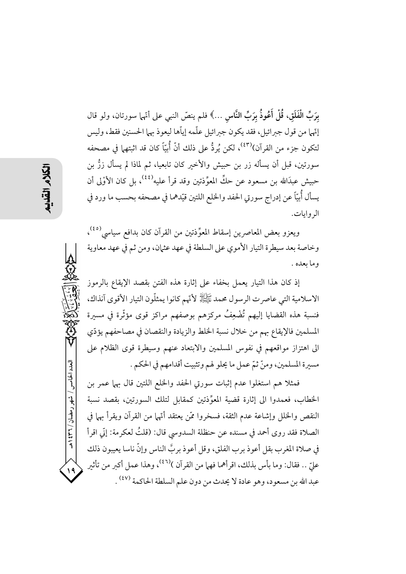بِرَبِّ الْفَلَقِ، قُلْ أَعُوذُ بِرَبِّ النَّاس …﴾ فلم ينصّ النبي على أنّها سورتان، ولو قال إتّها من قول جبرائيل، فقد يكون جبرائيل علّمه إياّها ليعوذ بهما الحسنين فقط، وليس لتكون جزء من القرآن) $^{\text{\tiny (\$)}}$ ، لكن يُردُّ على ذلك أنَّ أُبيّاً كان قد اثبتهما في مصحفه سورتين، قبل أن يسأله زر بن حبيش والأخير كان تابعيا، ثم لماذا لم يسأل زرُّ بن حبيش عبدَالله بن مسعود عن حكِّ المعوِّذتين وقد قرأ عليه'<sup>٤٤)</sup>، بل كان الأوْلى أن يسأل أُبيًّا عن إدراج سورتي الحفد والخلع اللتين قيّدهما في مصحفه بحسب ما ورد في اله و ايات.

ويعزو بعض المعاصرين إسقاط المعوِّذتين من القرآن كان بدافع سياسي<sup>(٤٥)</sup>، وخاصة بعد سيطرة التيار الأموي على السلطة في عهد عثمان، ومن ثم في عهد معاوية وما بعده .

إذ كان هذا التيار يعمل بخفاء على إثارة هذه الفتن بقصد الإيقاع بالرموز الاسلامية التي عاصر ت الرسول محمد ﷺ لأتهم كانوا يمثلُّون التيار الأقوى آنذاك، فنسبة هذه القضايا إليهم تُضْعِفُ مركزهم بوصفهم مراكز قوى مؤثَّرة في مسيرة المسلمين فالإيقاع بهم من خلال نسبة الخلط والزيادة والنقصان في مصاحفهم يؤدّي الى اهتزاز مواقعهم في نفوس المسلمين والابتعاد عنهم وسيطرة قوى الظلام على مسيرة المسلمين، ومنّ ثمّ عملٍ ما يحلو لهم وتثبيت أقدامهم في الحكم .

فمثلا هم استغلوا عدم إثبات سورتي الحفد والخلع اللتين قال بهما عمر بن الخطاب، فعمدوا إلى إثارة قضية المعوِّذتين كمقابل لتلك السورتين، بقصد نسبة النقص والحلل وإشاعة عدم الثقة، فسخروا ممَّن يعتقد أنَّها من القرآن ويقرأ بهما في الصلاة فقد روى أحمد في مسنده عن حنظلة السدوسي قال: (قلتُ لعكرمة: إنّي اقرأ في صلاة المغرب بقل أعوذ برب الفلق، وقل أعوذ بربَّ الناس وإنَّ ناسا يعيبون ذلك عليّ .. فقال: وما بأس بذلك، اقرأهما فهما من القرآن )(<sup>٤٦)</sup>، وهذا عمل أكبر من تأثير عبد الله بن مسعود، وهو عادة لا يحدث من دون علم السلطة الحاكمة (٤٧) .

العدد الخامس / شهر رمضان / ۲۳۱ هـ

 $\sqrt{9}$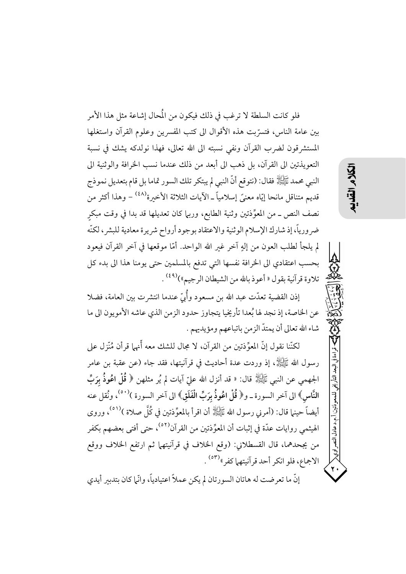فلو كانت السلطة لا ترغب في ذلك فيكون من المُحال إشاعة مثل هذا الأمر بين عامة الناس، فتسرَّبت هذه الأقوال الى كتب المفسرين وعلوم القرآن واستغلها المستشرقون لضرب القرآن ونفي نسبته الى الله تعالى، فهذا نولدكه يشك في نسبة التعويذتين الى القرآن، بل ذهب الى أبعد من ذلك عندما نسب الخرافة والوثنية الى النبي محمد ﷺ فقال: (نتوقع أنَّ النبي لم يبتكر تلك السور تماما بل قام بتعديل نموذج قديم متناقل مانحا إيّاه معنيَّ إسلاميَّا ـ الآيات الثلاثة الأخبرة<sup>(٤٨)</sup> – وهذا أكثر من نصف النص ــ من المعوِّذتين وثنية الطابع، وربيا كان تعديلها قد بدا في وقت مبكر ضرورياً، إذ شارك الإسلام الوثنية والاعتقاد بوجود أرواح شريرة معادية للبشر، لكنّه لم يلجأ لطلب العون من إلهٍ آخر غير الله الواحد. أمّا موقعها في آخر القرآن فيعود بحسب اعتقادي الى الخرافة نفسها التي تدفع بالمسلمين حتى يومنا هذا الى بدء كل تلاوة قرآنية بقول « أعوذ بالله من الشيطان الرجيم»)<sup>(٤٩)</sup> .

うくう

قراءة في البعد التأريخي للمعوذتين/أ.م.د عادل النصر اوي<

إذن القضية تعدّت عبد الله بن مسعود وأُمّيّ عندما انتشرت بين العامة، فضلا عن الخاصة، إذ نجد لها بُعدا تأريخيا يتجاوز حدود الزمن الذي عاشه الأمويون الي ما شاء الله تعالى أن يمتدّ الزمن باتباعهم ومؤيديهم .

لكنَّنا نقول إنَّ المعوِّذتين من القرآن، لا مجال للشك معه أَّنها قرأن مُنَّزل على رسول الله ﷺ، إذ وردت عدة أحاديث في قرآنيتها، فقد جاء (عن عقبة بن عامر الجهمي عن النبي ﷺ قال: « قد أنزل الله علىّ آيات لم يُر مثلهن ﴿ قُلْ اعُوذُ بِرَبِّ النَّاسِ﴾ الى آخر السورة ــ و﴿ قُلْ اعُوذُ بِرَبِّ الْفَلَقِ﴾ الى آخر السورة )<sup>(٥٠)</sup>، ونُقل عنه أيضاً حينها قال: (أمرني رسول الله ﷺ أن اقرأ بالمعوِّذتين في كُلَّ صلاة )(٥١). وروى الهيثمي روايات عدّة في إثبات أن المعوِّذتين من القرآن<sup>(٥٢)</sup>، حتى أفتى بعضهم بكفر من يجحدهما، قال القسطلاني: (وقع الخلاف في قرآنيتهما ثم ارتفع الخلاف ووقع الاجماع، فلو انكر أحد قرآنيتهما كفر"<sup>٥٣)</sup> .

إنَّ ما تعرضت له هاتان السورتان لم يكن عملاً اعتيادياً، وانَّما كان بتدبير أيدي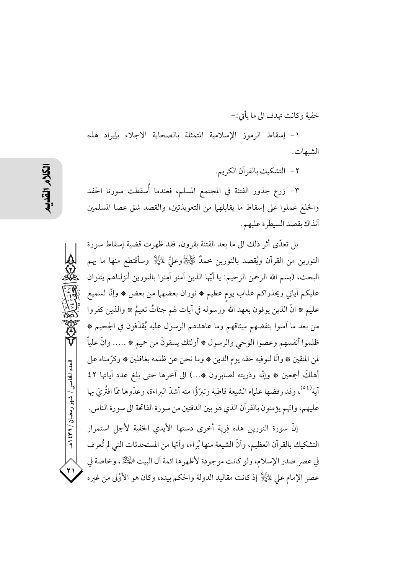خفية وكانت تهدف الى ما يأتي:-

١- إسقاط الرموز الإسلامية المتمثلة بالصحابة الاجلاء بإيراد هذه الشبهات.

٢- التشكيك بالقرآن الكريم.

٣– زرع جذور الفتنة في المجتمع المسلم، فعندما أُسقطت سورتا الحفد والخلع عملوا على إسقاط ما يقابلهها من التعويذتين، والقصد شق عصا المسلمين آنذاك بقصد السيطرة عليهم.

بل تعدَّى أثر ذلك الى ما بعد الفتنة بقرون، فقد ظهرت قضية إسقاط سورة النورين من القرآن ويُقصد بالنورين محمدٌ ﷺوعليٌّ لِلَّــِيْلَا وسأقتطع منها ما يهم البحث، (بسم الله الرحمن الرحيم: يا أيّها الذين آمنو آمِنوا بالنورين أنزلناهم يتلوان عليكم آياتي ويحذراكم عذاب يوم عظيم ۞ نوران بعضهما من بعض ۞ وإنَّا لسميع عليم ۞ انَّ الذين يوفون بعهد الله ورسوله في آيات لهم جناتُ نعيمُ ۞ والذين كفروا من بعد ما آمنوا بنقضهم ميثاقهم وما عاهدهم الرسول عليه يُقذَفون في الجحيم ۞ ظلموا أنفسهم وعصوا الوحي والرسول ۞ أولئك يسقونَ من حميم ۞ ..... وانَّ علياً لمن المتقين ۞ وانَّا لنوفيه حقه يوم الدين ۞ وما نحن عن ظلمه بغافلين ۞ وكرَّمناه على أهلكَ أجمعين ۞ وإنَّه وذريته لصابرون ۞...) الى آخرها حتى بلغ عدد آياتها ٤٢ آية<sup>(٥٤)</sup>، وقد رفضها علياء الشيعة قاطبة وتيرَّؤُا منه أشدَّ البراءة، وعدَّوها ممَّا افتُرِيَ مها عليهم، واتَّهم يؤمنون بالقرآن الذي هو بين الدفتين من سورة الفاتحة الى سورة الناس. إنَّ سورة النورين هذه فِرِية أخرى دستها الأيدي الخفية لأجل استمرار

التشكيك بالقرآن العظيم، وأنَّ الشيعة منها بُراء، وأنَّها من المستحدثات التي لم تُعرف في عصر صدر الإسلام، ولو كانت موجودة لأظهرها ائمة آل البيت الجَيْلَ ، وخاصة في عصر الإمام على لِمَائِيَالٍا إذ كانت مقاليد الدولة والحكم بيده، وكان هو الأوْلى من غيره

العدد الخامس / شهر رمضان / ۲۳۱ ه

 $\mathbf{y}$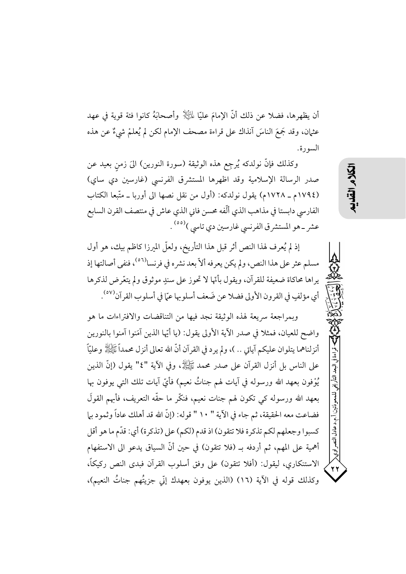أن يظهرها، فضلا عن ذلك أنَّ الإمامَ عليًّا لِمَلَيْلٍ وأصحابَهُ كانوا فئة قوية في عهد عثيان، وقد جَمعَ الناسَ آنذاك على قراءة مصحف الإمام لكن لم يُعلمْ شيءٌ عن هذه السورة.

وكذلك فإنَّ نولدكه يُرجِع هذه الوثيقة (سورة النورين) الىَ زمن بعيد عن صدر الرسالة الإسلامية وقد اظهرها المستشرق الفرنسي (غارسين دي ساي) (١٧٩٤م ـ ١٧٢٨م) يقول نولدكه: (أول من نقل نصها الى أوربا ـ متَّبعا الكتاب الفارسي دابستا في مذاهب الذي ألّفه محسن فاني الذي عاش في منتصف القرن السابع عشر ــ هو المستشرق الفرنسي غارسين دي تاسي )<sup>(٥٥)</sup> .

إذ لم يُعرف لهذا النص أثر قبل هذا التأريخ، ولعلَّ الميرزا كاظم بيك، هو أول مسلم عثر على هذا النص، ولم يكن يعرفه ألاّ بعد نشره في فرنسا<sup>(٥٦)</sup>، فنفي أصالتها إذ يراها محاكاة ضعيفة للقرآن، ويقول بأنَّها لا تحوز على سندٍ موثوق ولم يتعَّرض لذكرها أي مؤلفٍ في القرون الأولى فضلا عن ضَعف أسلوبها عمّا في أسلوب القرآن<sup>(٥٧)</sup>.

وبمراجعة سريعة لهذه الوثيقة نجد فيها من التناقضات والافتراءات ما هو واضِح للعيان، فمثلًا في صدر الآية الأولى يقول: (يا أيَّها الذين آمَنوا آمنوا بالنورين أنزلناهما يتلوان عليكم آياتي .. )، ولم يرد في القرآن أنَّ الله تعالى أنزل محمداً ﷺ وعليّاً على الناس بل أنزل القرآن على صدر محمد ﷺ، وفي الآية "٤" يقول (إنَّ الذين يُوْفون بعهد الله ورسوله في آيات لهم جناتٌ نعيم) فأيّ آيات تلك التي يوفون بها بعهد الله ورسوله كي تكون لهم جنات نعيم، فنكَّر ما حقَّه التعريف، فأبهم القولَ فضاعت معه الحقيقة، ثم جاء في الآية " ١٠ " قوله: (إنَّ الله قد أهلك عاداً وثمود بيا كسبوا وجعلهم لكم تذكرة فلا تتقون) اذ قدم (لكم) على (تذكرة) أي: قدّم ما هو أقل أهمية على المهم، ثم أردفه بـ (فلا تتقون) في حين أنَّ السياق يدعو الى الاستفهام الاستنكاري، ليقول: (أفلا تتقون) على وفق أسلوب القرآن فبدى النص ركيكاً، وكذلك قوله في الآية (١٦) (الذين يوفون بعهدك إنّي جزيتُهم جناتُ النعيم)،

.<br>.د عادل

النصراوي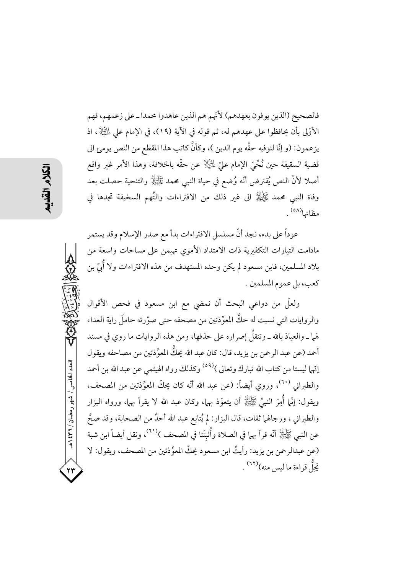فالصحيح (الذين يوفون بعهدهم) لأتّهم هم الذين عاهدوا محمدا ـ على زعمهم، فهم الأَوْلَى بأن يحافظوا على عهدهم له، ثم قوله في الآية (١٩)، في الإمام على لِمَائِيَاتٍي اذ يزعمون: (و إنَّا لنوفيه حقَّه يوم الدين )، وكأنَّ كاتب هذا المقطع من النص يومئ الي قضية السقيفة حين نُحِّيَ الإمام عليِّ لِلنَّيْلَا عن حقَّه بالخلافة، وهذا الأمر غير واقع أصلا لأنَّ النص يُفترض أنَّه وُضعٍ في حياة النبي محمد ﷺ والتنحية حصلت بعد وفاة النبي محمد ﷺ الى غير ذلك من الافتراءات والتُهم السخيفة تجدها في مظانها<sup>(٥٨)</sup>.

عوداً على بدء، نجد أنَّ مسلسل الافتراءات بدأ مع صدر الإسلام وقد يستمر مادامت التيارات التكفيرية ذات الامتداد الأموى تهيمن على مساحات واسعة من بلاد المسلمين، فابن مسعود لم يكن وحده المستهدف من هذه الافتراءات ولا أُبِّي بن كعب، بل عموم المسلمين .

ولعلَّ من دواعي البحث أن نمضي مع ابن مسعود في فحص الأقوال والروايات التي نسبت له حكَّ المعوِّذتين من مصحفه حتى صوَّرته حاملَ راية العداء لهما ــ والعياذ بالله ــ وتنقلُ إصراره على حذفها، ومن هذه الروايات ما روي في مسند أحمد (عن عبد الرحمن بن يزيد، قال: كان عبد الله يحكُّ المعوِّذتين من مصاحفه ويقول إنّهما ليستا من كتاب الله تبارك وتعالى )<sup>(٥٩)</sup> وكذلك رواه الهيثمي عن عبد الله بن أحمد والطبراني <sup>(٦٠)</sup>، وروي أيضاً: (عن عبد الله أنّه كان يحكّ المعوِّذتين من المصحف، ويقول: إنَّما أُمِرَ النبيُّ ﷺ أن يتعوَّذ بها، وكان عبد الله لا يقرأ بها، ورواه البزار والطبراني ، ورجالها ثقات، قال البزار: لم يُتابع عبد الله أحدٌ من الصحابة، وقد صحَّ عن النبي ﷺ أنَّه قرأ بهما في الصلاة وأُثبتَتا في المصحف )''''، ونقل أيضاً ابن شبة (عن عبدالرحمن بن يزيد: رأيتُ ابن مسعود يحكّ المعوِّذتين من المصحف، ويقول: لا يَجَلُّ قراءة ما ليس منه)(٢٢) .

العدد الخامس / شهر رمضان / ۳۲ ه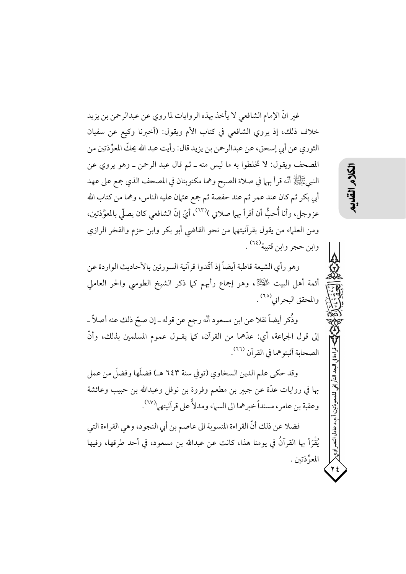غير انَّ الإمام الشافعي لا يأخذ بهذه الروايات لما روي عن عبدالرحمن بن يزيد خلاف ذلك، إذ يروي الشافعي في كتاب الأم ويقول: (أخبرنا وكيع عن سفيان الثوري عن أبي إسحق، عن عبدالرحمن بن يزيد قال: رأيت عبد الله يحكِّ المعوِّذتين من المصحف ويقول: لا تخلطوا به ما ليس منه ـ ثم قال عبد الرحمن ـ وهو يروى عن النبيﷺ أنَّه قرأ بهما في صلاة الصبح وهما مكتوبتان في المصحف الذي جمع على عهد أبي بكر ثم كان عند عمر ثم عند حفصة ثم جمع عثمان عليه الناس، وهما من كتاب الله عزوجل، وأنا أُحبُّ أن أقرأ بها صلاتي )(٦٣)، أيّ إنّ الشافعي كان يصلّي بالمعوِّذتين، ومن العلماء من يقول بقرآنيتهما من نحو القاضي أبو بكر وابن حزم والفخر الرازي وابن حجر وابن قتيبة<sup>(٢٤)</sup> .

وهو رأي الشيعة قاطبة أيضاً إذ أكَّدوا قرآنية السورتين بالأحاديث الواردة عن أئمة أهل البيت لِلْهَيْلِةُ، وهو إجماع رأيهم كما ذكر الشيخ الطوسي والحر العاملي والمحقق البحراني<sup>(٢٥)</sup> .

وذُكر أيضاً نقلا عن ابن مسعود أنَّه رجع عن قوله ــ إن صحّ ذلك عنه أصلاً ــ إلى قول الجماعة، أي: عدَّهما من القرآن، كما يقـول عموم المسلمين بذلك، وأنَّ الصحابة أثبتوهما في القرآن <sup>(٢٦)</sup>.

وقد حكي علم الدين السخاوي (توفي سنة ٦٤٣ هـ) فضلَها وفضلَ من عمل بها في روايات عدَّة عن جبير بن مطعم وفروة بن نوفل وعبدالله بن حبيب وعائشة وعقبة بن عامر ، مسنداً خبرهما الى السياء ومدلاً على قرآنيتهما<sup>(٦٧)</sup>.

فضلا عن ذلك أنَّ القراءة المنسوبة الى عاصم بن أبي النجود، وهي القراءة التي يُقْرَأُ بِها القرآنُ في يومنا هذا، كانت عن عبدالله بن مسعود، في أحد طرقها، وفيها المعوِّذتين . م.د عادل النصبر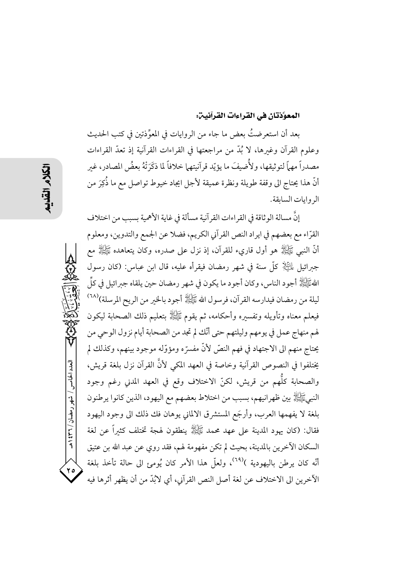### المعوَّذتان في القراءات القرآنين:

بعد أن استعرضتُ بعض ما جاء من الروايات في المعوِّذتين في كتب الحديث وعلوم القرآن وغيرها، لا بُدَّ من مراجعتها في القراءات القرآنية إذ تعدَّ القراءات مصدراً مهماً لتوثيقها، ولأُضيفَ ما يؤيّد قرآنيتهما خلافاً لما ذكَرَتْهُ بعضُ المصادر، غير أنَّ هذا يحتاج الى وقفة طويلة ونظرة عميقة لأجل ايجاد خيوط تواصل مع ما ذُكِرَ من الروايات السابقة.

إِنَّ مسالة الو ثاقة في القراءات القر آنية مسألة في غاية الأهمية بسبب من اختلاف القرّاء مع بعضهم في ايراد النص القرآني الكريم، فضلا عن الجمع والتدوين، ومعلوم أَنَّ النَّبِي ﷺ هُو أُولَ قَارِيء لَلْقُرِ آنَ، إذْ نَزِلَ عَلَى صِدْرِه، وكان يتعاهده ﷺ مع جبرائيل لِمَلَيْكِ لِهِ كُلِّ سنةٍ في شهرٍ رمضانٍ فيقرأه عليه، قال ابن عباس: (كان رسول اللهُ عَيَالِهُ أجود الناس، وكان أجود ما يكون في شهر رمضان حين يلقاه جبرائيل في كلِّ ليلة من رمضان فيدارسه القرآن، فرسول الله ﷺ أجود بالخير من الريح المرسلة)(٦٨ فيعلم معناه وتأويله وتفسيره وأحكامه، ثم يقوم ﷺ بتعليم ذلك الصحابة ليكون لهم منهاج عمل في يومهم وليلتهم حتى أنَّك لم تجد من الصحابة أيام نزول الوحي من يحتاج منهم الى الاجتهاد في فهم النصِّ لأنَّ مفسرَّه ومؤوَّله موجود بينهم، وكذلك لم يختلفوا في النصوص القرآنية وخاصة في العهد المكي لأنَّ القرآن نزل بلغة قريش، والصحابة كلُّهم من قريش، لكنّ الاختلاف وقع في العهد المدني رغم وجود النبيﷺ بين ظهر انبهم، بسبب من اختلاط بعضهم مع اليهود، الذين كانوا يرطنون بلغة لا يفهمها العرب، وأرجَع المستشرق الالماني يوهان فك ذلك الى وجود اليهود فقال: (كان يهود المدينة على عهد عمد ﷺ ينطقون لهجة تختلف كثيراً عن لغة السكان الآخرين بالمدينة، بحيث لم تكن مفهومة لهم، فقد روي عن عبد الله بن عتيق أنَّه كان يرطن باليهودية )<sup>(٦٩)</sup>، ولعلَّ هذا الأمر كان يُومئ الى حالة تأخذ بلغة الآخرين الى الاختلاف عن لغة أصل النص القرآني، أي لابُدّ من أن يظهر أثرها فيه

العدد الخامس / شهر رمضان / ٣٦١ هـ

 $\mathbf{y}$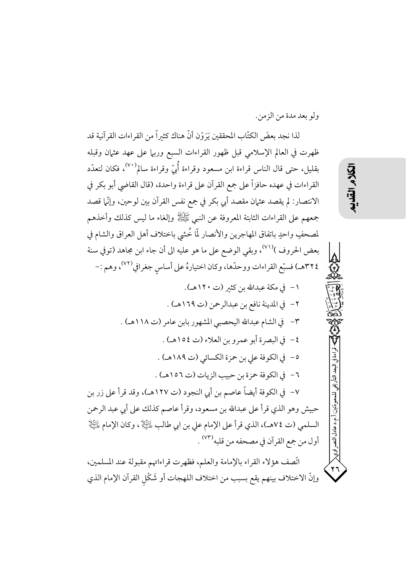ولو بعد مدة من الزمن.

لذا نجد بعضَ الكتّابِ المحققين يَرَوْن أنّ هناك كثيراً من القراءات القرآنية قد ظهرت في العالم الإسلامي قبل ظهور القراءات السبع وربيا على عهد عثيان وقبله بقليل، حتى قال الناس قراءة ابن مسعود وقراءة أُبِّ وقراءة سالم<sup>(٧٠)</sup>، فكان لتعدّد القراءات في عهده حافزاً على جمع القرآن على قراءة واحدة، (قال القاضي أبو بكر في الانتصار: لم يقصد عثمان مقصد أبي بكر في جمع نفس القرآن بين لوحين، وإنَّما قصد جمعهم على القراءات الثابتة المعروفة عن النبي ﷺ وإلغاء ما ليس كذلك وأخذهم لمصحفٍ واحدٍ باتفاق المهاجرين والأنصار لمَّا خُشى باختلاف أهل العراق والشام في بعض الحروف )<sup>(٧١)</sup>، وبقى الوضع على ما هو عليه الى أن جاء ابن مجاهد (توفي سنة ٢٢٤هـ) فسبَّع القراءات ووحدَّها، وكان اختيارهُ على أساس جغرافي <sup>(٧٢)</sup>، وهم :-

١ – في مكة عبدالله بن كثير (ت ١٢٠هـ). ٢- في المدينة نافع بن عبدالرحمن (ت ١٦٩هـ) . ٣- في الشام عبدالله اليحصبي المشهور بابن عامر (ت ١١٨هـ) . ٤- في البصرة أبو عمرو بن العلاء (ت ١٥٤هـ) . ٥- في الكوفة على بن حمزة الكسائي (ت ١٨٩هـ) . ٦- في الكوفة حمزة بن حبيب الزيات (ت ١٥٦هـ) . ٧- في الكوفة أيضاً عاصم بن أبي النجود (ت ١٢٧هـ)، وقد قرأ على زر بن حبيش وهو الذي قرأ على عبدالله بن مسعود، وقرأ عاصم كذلك على أبي عبد الرحمن السلمي (ت ٧٤هـ)، الذي قرأ على الإمام على بن ابي طالب لِمَائِيَانِي ، وكان الإمام لِمَائِيَانِيْزِ أول من جمع القرآن في مصحفه من قلبه<sup>(٧٣)</sup> . اتَّصف هؤلاء القراء بالإمامة والعلم، فظهرت قراءاتهم مقبولة عند المسلمين، وإنَّ الاختلاف بينهم يقع بسبب من اختلاف اللهجات أو شَكْل القرآن الإمام الذي

以く

حدعادل النصر اوي<<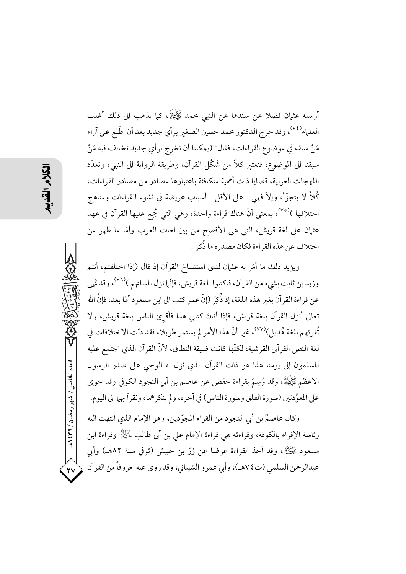أرسله عثيان فضلا عن سندها عن النبي محمد ﷺ، كما يذهب الى ذلك أغلب العلماء<sup>(٧٤)</sup>، وقد خرج الدكتور محمد حسين الصغير برأي جديد بعد أن اطّلع على آراء مَنْ سبقه في موضوع القراءات، فقال: (يمكننا أن نخرج برأي جديد نخالف فيه مَنْ سبقنا الى الموضوع، فنعتبر كلاٌّ من شَكْل القرآن، وطريقة الرواية الى النبي، وتعدَّد اللهجات العربية، قضايا ذات أهمية متكافئة باعتبارها مصادر من مصادر القراءات، كُلاَّ لا يتجزَّأ، وإلاّ فهي ــ على الأقل ــ أسباب عريضة في نشوء القراءات ومناهج اختلافها )<sup>(٧٥)</sup>، بمعنى أنَّ هناك قراءة واحدة، وهي التي جُمِع عليها القرآن في عهد عثمان على لغة قريش، التي هي الأفصح من بين لغات العرب وأمَّا ما ظهر من اختلاف عن هذه القراءة فكان مصدره ما ذُكر .

ويؤيد ذلك ما أمَر به عثمان لدى استنساخ القرآن إذ قال (إذا اختلفتم، أنتم وزيد بن ثابت بشيء من القرآن، فاكتبوا بلغة قريش، فإنَّما نزل بلسانهم )<sup>(٧٦)</sup>، وقد نُهي عن قراءة القرآن بغير هذه اللغة، إذ ذُكِرَ (إنَّ عمر كتب الى ابن مسعود أمّا بعد، فإنَّ الله تعالى أنزل القرآن بلغة قريش، فإذا أتاك كتابي هذا فأقرئ الناس بلغة قريش، ولا تُقرئهم بلغة هُذيل)(٧٧)، غير أنَّ هذا الأمر لم يستمر طويلا، فقد دبّت الاختلافات في لغة النص القرآني القرشية، لكنّها كانت ضيقة النطاق، لأنّ القرآن الذي اجتمع عليه المسلمون إلى يومنا هذا هو ذات القرآن الذي نزل به الوحى على صدر الرسول الاعظم ﷺ، وقد وُسِمَ بقراءة حفص عن عاصم بن أبي النجود الكوفي وقد حوى على المعوِّذتين (سورة الفلق وسورة الناس) في آخره، ولم ينكرهما، ونقرأ بهما الى اليوم.

وكان عاصمٌ بن أبي النجود من القراء المجوّدين، وهو الإمام الذي انتهت اليه رئاسة الإقراء بالكوفة، وقراءته هي قراءة الإمام على بن أبي طالب لِمالِيًا{ وقراءة ابن مسعود ﷺ، وقد أخذ القراءة عرضا عن زرّ بن حبيش (توفي سنة ٨٢هـ) وأبي عبدالرحمن السلمي (ت٧٤هـ)، وأبي عمرو الشيباني، وقد روى عنه حروفاً من القرآن

العدد الخامس / شهر رمضان / ۳۲۱ ه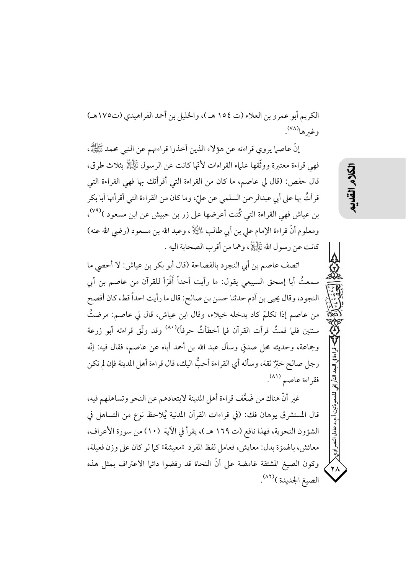الكريم أبو عمرو بن العلاء (ت ١٥٤ هـ)، والخليل بن أحمد الفراهيدي (ت١٧٥هـ) وغبرها<sup>(۷۸)</sup>.

إنَّ عاصها يروي قراءته عن هؤلاء الذين أخذوا قراءتهم عن النبي محمد ﷺ، فهي قراءة معتبرة ووثَّقها علياء القراءات لأنَّها كانت عن الرسول ﷺ بثلاث طرق، قال حفص: (قال لي عاصم، ما كان من القراءة التي أقرأتك بها فهي القراءة التي قرأتُ بها على أبي عبدالرحمن السلمي عن عليّ، وما كان من القراءة التي أقرأتها أبا بكر بن عياش فهي القراءة التي كُنت أعرضها على زر بن حبيش عن ابن مسعود )<sup>(٧٩)</sup>، ومعلوم أنَّ قراءة الإمام على بن أبي طالب لِمائِيَّالٍ ، وعبد الله بن مسعود (رضي الله عنه) كانت عن رسول الله ﷺ، وهما من أقرب الصحابة اليه .

اتصف عاصم بن أبي النجود بالفصاحة (قال أبو بكر بن عياش: لا أحصى ما سمعتُ أبا إسحق السبيعي يقول: ما رأيت أحداً أَقْرَأ للقرآن من عاصم بن أبي النجود، وقال يحيى بن أدم حدثنا حسن بن صالح: قال ما رأيت احداً قط، كان أفصح من عاصم إذا تكلَّم كاد يدخله خيلاء، وقال ابن عياش، قال لي عاصم: مرضتُ سنتين فلما قمتُ قرأت القرآن فما أخطأتُ حرفاً) $^{(\lambda \, \cdot \, \lambda)}$ وقد وثّق قراءته أبو زرعة وجماعة، وحديثه محل صدقٍ وسأل عبد الله بن أحمد أباه عن عاصم، فقال فيه: إنَّه رجل صالح خيِّرٌ ثقة، وسأله أي القراءة أحبُّ اليك، قال قراءة أهل المدينة فإن لم تكن فقراءة عاصم (٨١).

غير أنَّ هناك من ضَعَّف قراءة أهل المدينة لابتعادهم عن النحو وتساهلهم فيه، قال المستشرق يوهان فك: (في قراءات القرآن المدنية يُلاحظ نوع من التساهل في الشؤون النحوية، فهذا نافع (ت ١٦٩ هـ )، يقرأ في الآية (١٠) من سورة الأعراف، معائش، بالهمزة بدل: معايش، فعامل لفظ المفرد «معيشة» كما لو كان على وزن فعيلة، وكون الصيغ المشتقة غامضة على أنَّ النحاة قد رفضوا دائها الاعتراف بمثل هذه الصيغ الجديدة )(٨٢).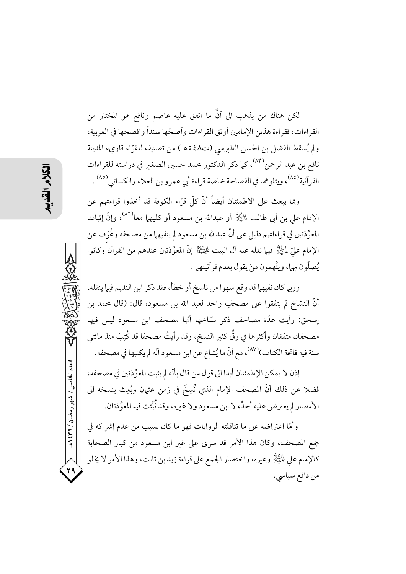لكن هناك من يذهب الى أنَّ ما اتفق عليه عاصم ونافع هو المختار من القراءات، فقراءة هذين الإمامين أوثق القراءات وأصحّها سنداً وافصحها في العربية، ولم يُسقط الفضل بن الحسن الطبرسي (ت٤٨هـ) من تصنيفه للقرّاء قارىء المدينة نافع بن عبد الرحمن<sup>(٨٣)</sup>، كما ذكر الدكتور محمد حسين الصغير في دراسته للقراءات القرآنية<sup>(٨٤)</sup>، ويتلوهما في الفصاحة خاصة قراءة أبي عمرو بن العلاء والكسائي<sup>(٨٥)</sup> .

ومما يبعث على الاطمئنان أيضاً أنَّ كلَّ قرَّاء الكوفة قد أخذوا قراءتهم عن الإمام علي بن أبي طالب ﷺ أو عبدالله بن مسعود أو كليهما معا<sup>(٨٦)</sup>، وإنَّ إثبات المعوِّذتين في قراءاتهم دليل على أنَّ عبدالله بن مسعود لم ينفيهما من مصحفه وعُرَف عن الإمام عليِّ لِمَالِخِلَا ۖ فيها نقله عنه آل البيت لِمَاتِخِلاً ۚ إِنَّ المعوِّذتين عندهم من القرآن وكانوا يُصلُّون بها، ويتَّهمون منَ يقول بعدم قرآنيتهما .

وربيا كان نفيهما قد وقع سهوا من ناسخ أو خطأ، فقد ذكر ابن النديم فيها ينقله، أنَّ النسَّاخُ لم يتفقوا على مصحفٍ واحد لعبد الله بن مسعود، قال: (قال محمد بن إسحق: رأيت عدَّة مصاحف ذكر نسَّاخها أنَّها مصحف ابن مسعود ليس فيها مصحفان متفقان وأكثرها في رقٍّ كثير النسخ، وقد رأيتُ مصحفا قد كُتِبَ منذ مائتي سنة فيه فاتحة الكتاب)<sup>(٨٧)</sup>، مع أنّ ما يُشاع عن ابن مسعود أنّه لم يكتبها في مصحفه.

إذن لا يمكن الإطمئنان أبدا الى قول من قال بأنَّه لم يثبت المعوِّ ذتين في مصحفه، فضلا عن ذلك أنَّ المصحف الإمام الذي نُسِخَ في زمن عثمان وبُعِث بنسخه الى الأمصار لم يعترض عليه أحدٌ، لا ابن مسعود ولا غيره، وقد ثُبَّتت فيه المعوِّذتان.

وأمَّا اعتراضه على ما تناقلته الروايات فهو ما كان بسبب من عدم إشراكه في جمع المصحف، وكان هذا الأمر قد سرى على غير ابن مسعود من كبار الصحابة كالإمام على لِمَائِلِ وغيره، واختصار الجمع على قراءة زيد بن ثابت، وهذا الأمر لا يُخلو من دافع سياسي.

العدد الخامس / شهر رمضان / ۳۶۲ هـ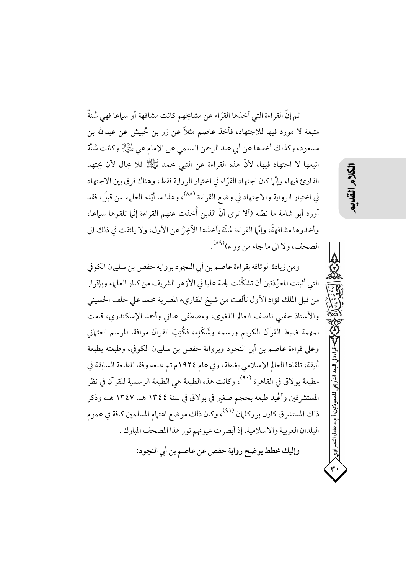ثم إنَّ القراءة التي أخذها القرَّاء عن مشايخهم كانت مشافهة أو سياعا فهي سُنةٌ متبعة لا مورد فيها للاجتهاد، فأخذ عاصم مثلاً عن زر بن حُبيش عن عبدالله بن مسعود، وكذلك أخذها عن أبي عبد الرحمن السلمي عن الإمام على لِلتِّالِا وكانت سُنَّة اتبعها لا اجتهاد فيها، لأنَّ هذه القراءة عن النبي محمد ﷺ فلا مجال لأن يجتهد القارئ فيها، وإنَّما كان اجتهاد القرَّاء في اختيار الرواية فقط، وهناك فرق بين الاجتهاد في اختيار الرواية والاجتهاد في وضع القراءة <sup>(٨٨)</sup>، وهذا ما أيّده العلماء من قبلُ، فقد أورد أبو شامة ما نصّه (ألا ترى أنّ الذين أُخذت عنهم القراءة إنّل تلقوها سماعا، وأخذوها مشافهةً، وإنَّما القراءة سُنَّة يأخذها الآخِرُ عن الأول، ولا يلتفت في ذلك الي الصحف، ولا الي ما جاء من وراء)(٨٩).

ومن زيادة الوثاقة بقراءة عاصم بن أبي النجود برواية حفص بن سليهان الكوفي التي أثبتت المعوِّذتين أن تشكَّلت لجنة عليا في الأزهر الشريف من كبار العلماء وبإقرار من قبل الملك فؤاد الأول تألفت من شيخ المقاريء المصرية محمد على خلف الحسيني والأستاذ حفني ناصف العالم اللغوي، ومصطفى عناني وأحمد الإسكندري، قامت بمهمة ضبط القرآن الكريم ورسمه وشَكْلِه، فكُتِبَ القرآن موافقا للرسم العثماني وعلى قراءة عاصم بن أبي النجود وبرواية حفص بن سليهان الكوفي، وطبعته بطبعة أنيقة، تلقاها العالم الإسلامي بغبطة، وفي عام ١٩٢٤م تم طبعه وفقا للطبعة السابقة في مطبعة بولاق في القاهرة (٩٠)، وكانت هذه الطبعة هي الطبعة الرسمية للقرآن في نظر المستشرقين وأعُيد طبعه بحجم صغير في بولاق في سنة ١٣٤٤ هـ. ١٣٤٧ هـ، وذكر ذلك المستشرق كارل بروكلهان <sup>(٩١)</sup>، وكان ذلك موضع اهتهام المسلمين كافة في عموم البلدان العربية والاسلامية، إذ أبصرت عيونهم نور هذا المصحف المبارك . وإليك مخطط يوضح رواية حفص عن عاصم بن أي النجود:

أ.م.د عادل النصر اوي<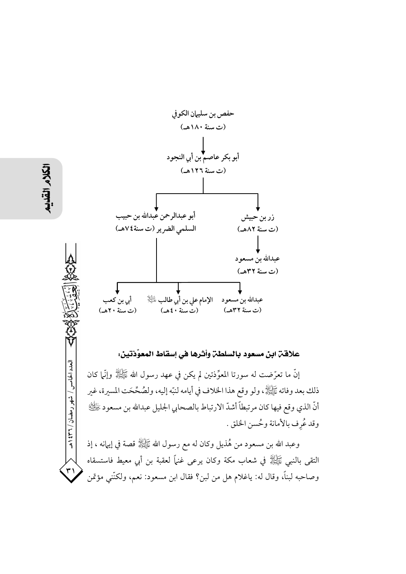

حدد الخامس / شهر رمضان / ۲۳۱ هـ

 $\mathbf{r}$ 

# علاقت ابن مسعود بالسلطن وأثرها في إسقاط المعوِّذتين:

إنَّ ما تعرَّضت له سورتا المعوِّذتين لم يكن في عهد رسول الله ﷺ وإنَّلَ كان ذلك بعد وفاته ﷺ ، ولو وقع هذا الخلاف في أيامه لنبّه إليه، ولصُحَّحَت المسيرة، غير أنَّ الذي وقع فيها كان مرتبطاً أشدَّ الارتباط بالصحابي الجليل عبدالله بن مسعود ﷺ وقد عُرِف بالأمانة وحُسن الخلق .

وعبد الله بن مسعود من هُذيل وكان له مع رسول الله ﷺ قصة في إيهانه ، إذ التقى بالنبي ﷺ في شعاب مكة وكان يرعى غنهًا لعقبة بن أبي معيط فاستسقاه وصاحبه لبناً، وقال له: ياغلام هل من لبن؟ فقال ابن مسعود: نعم، ولكنَّني مؤتمن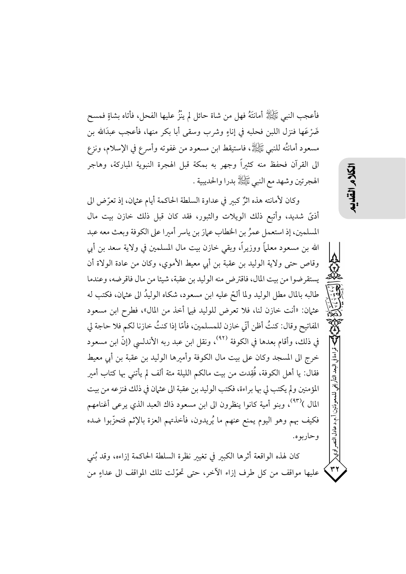فأعجب النَّبِي ﷺ أمانتَهُ فهل من شاة حائل لم ينْزُ عليها الفحل، فأتاه بشاةٍ فمسح ضَرْعَها فنزل اللبن فحلبه في إناءٍ وشرب وسقى أبا بكر منها، فأعجب عبدَالله بن مسعود أمانتُه للنبي ﷺ، فاستيقط ابن مسعود من غفوته وأسرع في الإسلام، ونزع الى القرآن فحفظ منه كثيراً وجهر به بمكة قبل الهجرة النبوية المباركة، وهاجر الهجرتين وشهد مع النبي ﷺ بدرا والحديبية .

وكان لأمانته هذه اثرٌ كبير في عداوة السلطة الحاكمة أيام عثمان، إذ تعرَّض الى أذيَّ شديد، وأتبع ذلك الويلات والثبور، فقد كان قبل ذلك خازن بيت مال المسلمين، إذ استعمل عمرُ بن الخطاب عمارَ بن ياسرِ أميرا على الكوفة وبعث معه عبد الله بن مسعود معلماً ووزيراً، وبقى خازن بيت مال المسلمين في ولاية سعد بن أبي وقاص حتى ولاية الوليد بن عقبة بن أبي معيط الأموي، وكان من عادة الولاة أن يستقرضوا من بيت المال، فاقترض منه الوليد بن عقبة، شيئا من مال فاقرضه، وعندما طالبه بالمال مطل الوليد ولما ألحَّ عليه ابن مسعود، شكاه الوليدُ الى عثمان، فكتب له عثمان: «أنت خازن لنا، فلا تعرض للوليد فيها أخذ من المال»، فطرح ابن مسعود المفاتيح وقال: كنتُ أظن أنِّي خازن للمسلمين، فأمَّا إذا كنتُ خازنا لكم فلا حاجة لي في ذلك، وأقام بعدها في الكوفة <sup>(٩٢)</sup>، ونقل ابن عبد ربه الأندلسي (إنّ ابن مسعود خرج الى المسجد وكان على بيت مال الكوفة وأميرها الوليد بن عقبة بن أبي معيط فقال: يا أهل الكوفة، فُقِدت من بيت مالكم الليلة مئة ألف لم يأتني بها كتاب أمير المؤمنين ولم يكتب لي بها براءة، فكتب الوليد بن عقبة الى عثمان في ذلك فنزعه من بيت المال )<sup>(٩٣)</sup>، وبنو أمية كانوا ينظرون الى ابن مسعود ذاك العبد الذي يرعى أغنامهم فكيف بهم وهو اليوم يمنع عنهم ما يُريدون، فأخذتهم العزة بالإثم فتحزَّبوا ضده و حار يو ه.

كان لهذه الواقعة أثرها الكبير في تغيير نظرة السلطة الحاكمة إزاءه، وقد بُني عليها مواقف من كل طرف إزاء الآخر، حتى تحوَّلت تلك المواقف الى عداءٍ من うくく

أ.م.د عادل النصر اوي<

٣٢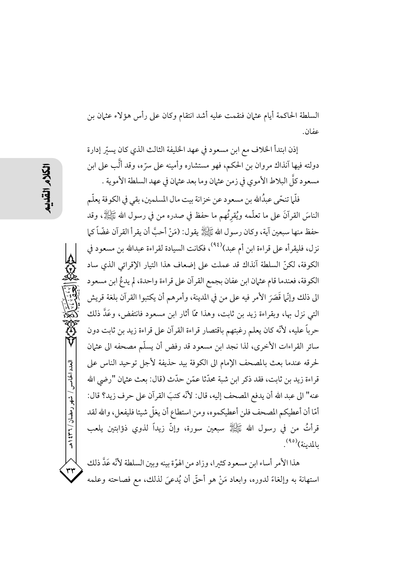العدد الخامس / شهر رمضان / ۲۳۱ هـ

السلطة الحاكمة أيام عثمان فنقمت عليه أشد انتقام وكان على رأس هؤلاء عثمان بن عفان.

إذن ابتدأ الخلاف مع ابن مسعود في عهد الخليفة الثالث الذي كان يسيّر إدارة دولته فيها آنذاك مروان بن الحكم، فهو مستشاره وأمينه على سرّه، وقد ألُّب على ابن مسعود كلَّ البلاط الأموي في زمن عثمان وما بعد عثمان في عهد السلطة الأموية .

فلَّما تنحَّى عبدُالله بن مسعود عن خزانة بيت مال المسلمين، بقي في الكوفة يعلَّم الناسَ القرآنَ على ما تعلُّمه ويُقرُّهم ما حفظ في صدره من في رسول الله ﷺ، وقد حفظ منها سبعين آية، وكان رسول الله ﷺ يقول: (مَنْ أحبَّ أن يقرأ القرآن غضّاً كما نزل، فليقرأه على قراءة ابن أم عبد)<sup>(٩٤)</sup>، فكانت السيادة لقراءة عبدالله بن مسعود في الكوفة، لكنِّ السلطة آنذاك قد عملت على إضعاف هذا التيار الإقرائي الذي ساد الكوفة، فعندما قام عثمان ابن عفان بجمع القرآن على قراءة واحدة، لم يدعُ ابن مسعود الى ذلك وإنَّما قَصَرَ الأمر فيه على من في المدينة، وأمرهم أن يكتبوا القرآن بلغة قريش التي نزل بها، وبقراءة زيد بن ثابت، وهذا ممَّا أثار ابن مسعود فانتفض، وعَدَّ ذلك حرباً عليه، لأنَّه كان يعلم رغبتهم باقتصار قراءة القرآن على قراءة زيد بن ثابت دون سائر القراءات الأخرى، لذا نجد ابن مسعود قد رفض أن يسلَّم مصحفه الى عثمان لحرقه عندما بعث بالمصحف الإمام الى الكوفة بيد حذيفة لأجل توحيد الناس على قراءة زيد بن ثابت، فقد ذكر ابن شبة محدّثا عمّن حدّث (قال: بعث عثمان "رضي الله عنه" الى عبد الله أن يدفع المصحف إليه، قال: لأنَّه كتبَ القرآن على حرف زيد؟ قال: أمّا أن أعطيكم المصحف فلن أعطيكموه، ومن استطاع أن يغلّ شيئا فليفعل، والله لقد قرأتُ من في رسول الله ﷺ سبعين سورة، وإنَّ زيداً لذوى ذؤابتين يلعب بالمدينة)<sup>(٩٥)</sup>.

هذا الأمر أساء ابن مسعود كثيرا، وزاد من الهوّة بينه وبين السلطة لأنّه عَدَّ ذلك استهانة به وإلغاءً لدوره، وابعاد مَنْ هو أحقَّ أن يُدعىَ لذلك، مع فصاحته وعلمه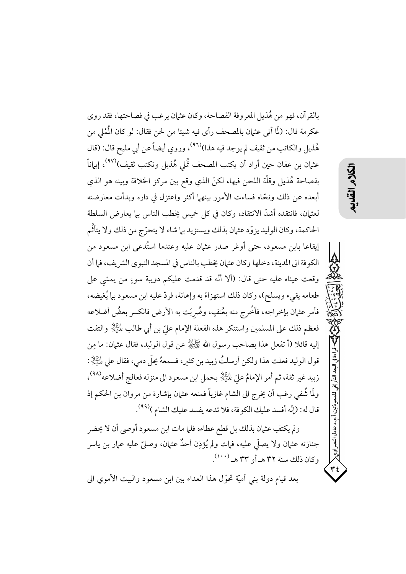بالقرآن، فهو من هُذيل المعروفة الفصاحة، وكان عثمان يرغب في فصاحتها، فقد روى عكرمة قال: (لَمَّا أتى عثـهان بالمصحف رأى فيه شيئا من لحن فقال: لو كان الْمُمْلي من هُذيلِ والكاتبِ من ثقيف لم يوجد فيه هذا)<sup>(٩٦)</sup>، وروى أيضاً عن أبي مليح قال: (قال عثمان بن عفان حين أراد أن يكتب المصحف تُملى هُذيل وتكتب ثقيف)<sup>(٩٧)</sup>، إيهاناً بفصاحة هُذيل وقلَّة اللحن فيها، لكنَّ الذي وقع بين مركز الخلافة وبينه هو الذي أبعده عن ذلك ونحَّاه فساءت الأمور بينهما أكثر واعتزل في داره وبدأت معارضته لعثيان، فانتقده أشدَّ الانتقاد، وكان في كلِّ خميسٍ يُخطِّب الناس بيما يعارض السلطة الحاكمة، وكان الوليد يزوّد عثمان بذلك ويستزيد ببا شاء لا يتحرّج من ذلك ولا يتأتَّم إيقاعا بابن مسعود، حتى أوغر صدر عثهان عليه وعندما استُدعى ابن مسعود من الكوفة الى المدينة، دخلها وكان عثمان يخطب بالناس في المسجد النبوي الشريف، فما أن وقعت عيناه عليه حتى قال: (ألا أنَّه قد قدمت عليكم دويبة سوءٍ من يمشي على طعامه يقيء ويسلح)، وكان ذلك استهزاءً به وإهانة، فردّ عليه ابن مسعود بها يُغيضه، فأمر عثمان بإخراجه، فأُخْرج منه بعُنفٍ، وضُربَت به الأرض فانكسر بعضُ أضلاعه فعظم ذلك على المسلمين واستنكر هذه الفعلة الإمام عليّ بن أبي طالب لِلَّــِيْلِا والتفت إليه قائلا (أ تفعل هذا بصاحب رسول الله ﷺ عن قول الوليد، فقال عثمان: ما مِن قول الوليد فعلت هذا ولكن أرسلتُ زبيد بن كثير، فسمعهُ يجلِّ دمي، فقال على التِّلاِ : زبيد غير ثقة، ثم أمر الإمامُ عليِّ لِمَائِيَلاٍ بحمل ابن مسعود الى منزله فعالج أضلاعه <sup>(٩٨)</sup>، ولَّما شُفي رغب أن يخرج الى الشام غازياً فمنعه عثمان بإشارة من مروان بن الحكم إذ قال له: (إنَّه أفسد عليك الكوفة، فلا تدعه يفسد عليك الشام )<sup>(٩٩)</sup>.

うくう

-قراءة في البعد التأريخي للمعوذتين/أ.م.د عادل النصر اوي<

۳٤

ولم يكتفِ عثمان بذلك بل قطع عطاءه فلما مات ابن مسعود أوصى أن لا يحضر جنازته عثمان ولا يصلِّي عليه، فمات ولم يُؤذِن أحدٌ عثمان، وصلَّ عليه عمار بن ياسر وكان ذلك سنة ٣٢ هـ أو ٣٣ هـ (١٠٠٠).

بعد قيام دولة بني أميَّة تحوَّل هذا العداء بين ابن مسعود والبيت الأموى الي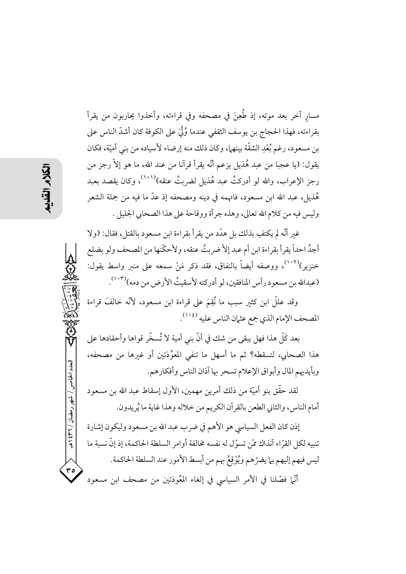مسار آخر بعد موته، إذ طُعِنَ في مصحفه وفي قراءته، وأخذوا يحاربون من يقرأ بقراءته، فهذا الحجاج بن يوسف الثقفي عندما وُلِّيَ على الكوفة كان أشدّ الناس على بن مسعود، رغم بُعْدِ الشقَّة بينهما، وكان ذلك منه إرضاء لأسياده من بني أميَّة، فكان يقول: (يا عجبا من عبد هُذيل يزعم أنَّه يقرأ قرآنا من عند الله، ما هو إلاَّ رجز من رجز الإعراب، والله لو أدركتُ عبد هُذيل لضربتُ عنقه)````، وكان يقصد بعبد هُذيل، عبد الله ابن مسعود، فاتهمه في دينه ومصحفه إذ عدَّ ما فيه من جملة الشعر وليس فيه من كلام الله تعالى، وهذه جرأة ووقاحة على هذا الصحابي الجليل .

غير أنَّه لم يكتفِ بذلك بل هدَّد من يقرأ بقراءة ابن مسعود بالقتل، فقال: (ولا أجدُ احداً يقرأ بقراءة ابن أم عبد إلاّ ضربتُ عنقه، ولأحكّنها من المصحف ولو بضلع خنزير)````، ووصفه أيضاً بالنفاق، فقد ذكر مَنْ سمعه على منىر واسط يقول: (عبدالله بن مسعود رأس المنافقين، لو أدركته لأسقيتُ الأرض من دمه)(١٠٣).

وقد عللَّ ابن كثير سبب ما نُقِمَ على قراءة ابن مسعود، لأنَّه خالفَ قراءة المصحف الإمام الذي جمع عثمان الناس عليه <sup>(١٠٤)</sup>.

بعد كَلِّ هذا فهل يبقى من شك في أنَّ بني أمية لا تُسخَّر قواها وأحقادها على هذا الصحابي، لتسقطه؟ ثم ما أسهل ما تنفي المعوِّذتين أو غيرها من مصحفه، وبأيديهم المال وأبواق الإعلام تسحر بها آذان الناس وأفكارهم.

لقد حقَّق بنو أميَّة من ذلك أمرين مهمين، الأول إسقاط عبد الله بن مسعود أمام الناس، والثاني الطعن بالقرآن الكريم من خلاله وهذا غاية ما يُريدون.

إذن كان الفعل السياسي هو الأهم في ضرب عبد الله بن مسعود وليكون إشارة تنبه لكل القرَّاء آنذاك ممَّن تسوَّل له نفسه مخالفة أوامر السلطة الحاكمة، إذ إنَّ نسبة ما ليس فيهم إليهم بما يضرِّهم ويُوْقِعُ بهم من أبسط الأمور عند السلطة الحاكمة.

أنَّما فصَّلنا في الأمر السياسي في إلغاء المعِّوذتين من مصحف ابن مسعود

العدد الخامس / شهر رمضان / ۳۶۲ هـ

 $r \circ$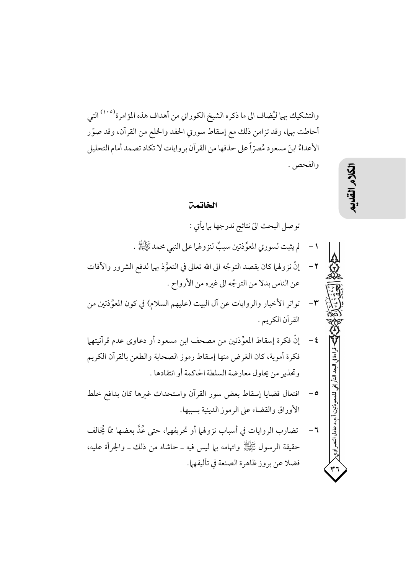والتشكيك بهما ليُضاف الى ما ذكره الشيخ الكوراني من أهداف هذه المؤامرة<sup>(١٠٥)</sup> التي أحاطت بهما، وقد تزامن ذلك مع إسقاط سورتي الحفد والخلع من القرآن، وقد صوَّر الأعداءُ ابنَ مسعود مُصرّاً على حذفها من القرآن بروايات لا تكاد تصمد أمام التحليل والفحص .

#### الخاتمن

توصل البحث اليّ نتائج ندرجها بلم يأتي : لم يثبت لسورتي المعوِّذتين سببٌ لنزولها على النبي محمد ﷺ .  $-1$  $-\tau$ إنَّ نزولهما كان بقصد التوجُّه الى الله تعالى في التعوَّذ بهما لدفع الشرور والآفات عن الناس بدلا من التوجّه الى غيره من الأرواح . تواتر الأخبار والروايات عن آل البيت (عليهم السلام) في كون المعوِّذتين من  $-\mathbf{r}$ القرآن الكريم . **٤**− إنَّ فكرة إسقاط المعوِّذتين من مصحف ابن مسعود أو دعاوي عدم قرآنيتهها فكرة أموية، كان الغرض منها إسقاط رموز الصحابة والطعن بالقرآن الكريم وتحذير من يحاول معارضة السلطة الحاكمة أو انتقادها . افتعال قضايا إسقاط بعض سور القرآن واستحداث غبرها كان بدافع خلط  $-\circ$ الأوراق والقضاء على الرموز الدينية بسببها. .م.د عادل النصر اوی< ٦− تضارب الروايات في أسباب نزولهما أو تحريفهما، حتى عُدَّ بعضها ممّا يُخالف حقيقة الرسول ﷺ واتهامه بها ليس فيه ــ حاشاه من ذلك ــ والجرأة عليه، فضلا عن بروز ظاهرة الصنعة في تأليفهما.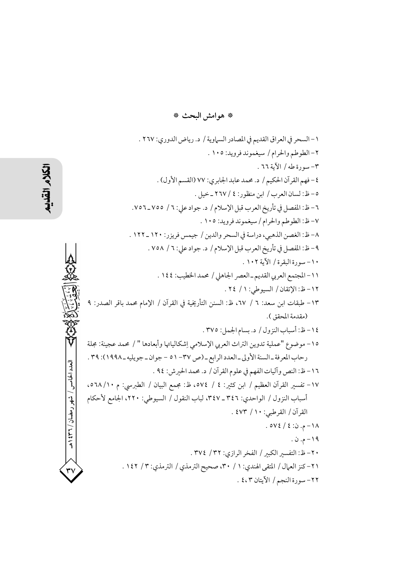\* هوامش البحث \*

١ - السحر في العراق القديم في المصادر السماوية / د. رياض الدوري: ٢٦٧ . ٢ – الطوطم والحرام / سيغموند فرويد: ١٠٥ . ٣-سورة طه/ الآية ٦٦. ٤- فهم القرآن الحكيم / د. محمد عابد الجابري: ٧٧ (القسم الأول) . ٥- ظ: لسان العرب / ابن منظور: ٤ / ٢٦٧ ـ خيل . ٦ – ظ: المفصل في تأريخ العرب قبل الإسلام / د. جواد على: ٦ / ٧٥٥\_٧٥٦. ٧- ظ: الطوطم والحرام / سيغموند فرويد: ١٠٥ . ٨- ظ: الغصن الذهبي، دراسة في السحر والدين / جيمس فريزر: ١٢٠ ـ ١٢٢ . ٩- ظ: المفصل في تأريخ العرب قبل الإسلام / د. جواد على: ٦ / ٧٥٨ . ١٠- سورة البقرة / الآية ١٠٢ . ١١-المجتمع العربي القديم-العصر الجاهلي / محمد الخطيب: ١٤٤ . ١٢- ظ: الإتقان / السبوطي: ١ / ٢٤. ١٣ - طبقات ابن سعد: ٦ / ٦٧، ظ: السنن التأريخية في القرآن / الإمام محمد باقر الصدر: ٩ (مقدمة المحقق ). ١٤-ظ: أسباب النزول / د. بسام الجمل: ٣٧٥. ١٥- موضوع "عملية تدوين التراث العربي الإسلامي إشكالياتها وأبعادها " / محمد عجينة: مجلة رحاب المعرفة \_ السنة الأولى \_ العدد الرابع \_ (ص ٣٧ - ٥١ - جوان \_ جويليه \_ ١٩٩٨): ٣٩ . العدد الخامس / شهر رمضان / ۳۲۱ هـ ١٦- ظ: النص وآليات الفهم في علوم القرآن / د. محمد الحيرش: ٩٤ . ١٧- تفسير القرآن العظيم / ابن كثير: ٤ / ٥٧٤، ظ: مجمع البيان / الطبرسي: م ١٠/ ٥٦٨، أسباب النزول / الواحدي: ٣٤٦ ـ ٣٤٧، لباب النقول / السيوطي: ٢٢٠، الجامع لأحكام القرآن / القرطبي: ٤٧٣ / ٤٧٣ . ١٨-م. ن: ٤ / ٥٧٤. ١٩-م. ن. ٢٠- ظ: التفسير الكبير / الفخر الرازي: ٣٢ / ٣٧٤ . ٢١- كنز العمال / المتقى الهندى: ١ / ٣٠، صحيح الترمذي / الترمذي: ٣ / ١٤٢ . ٢٢- سورة النجم / الآيتان ٤،٢ .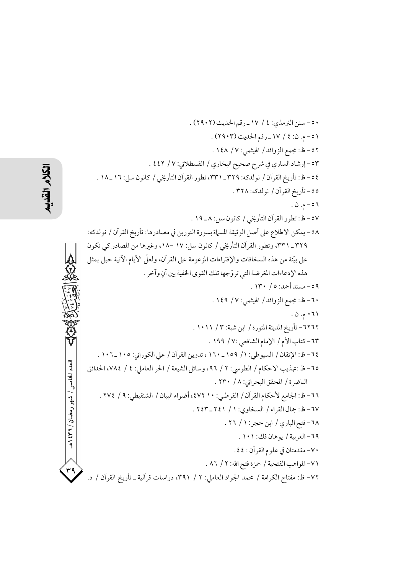العدد الخامس / شهر رمضان / ۲۳۱ ه

٥٠ - سنن الترمذي: ٤ / ١٧ ـ رقم الحديث (٢٩٠٢) . ١٥-م. ن: ٤ / ١٧ ـ رقم الحديث (٢٩٠٣) . ٥٢- ظ: مجمع الزوائد / الهيثمي: ١٤٨ / ١٤٨ . ٥٣- إرشاد الساري في شرح صحيح البخاري / القسطلاني: ٧ / ٤٤٢ . ٤٥ – ظ: تأريخ القرآن / نو لدكه: ٣٢٩\_٣٣١، تطور القرآن التأريخي / كانون سل: ١٦ \_ ١٨ . ٥٥- تأريخ القرآن / نو لدكه: ٣٢٨ . ٥٦ - م. ن . ٥٧- ظ: تطور القرآن التأريخي / كانون سل: ٨ ـ ١٩ . ٥٨- يمكن الاطلاع على أصل الوثيقة المسماة بسورة النورين في مصادرها: تأريخ القرآن / نولدكه: ٣٢٩\_ ٣٣١، وتطور القرآن التأريخي / كانون سل: ١٧ -١٨. وغيرها من المصادر كي تكون على بيّنة من هذه السخافات والإفتراءات المزعومة على القرآن، ولعلّ الأيام الآتية حبلى بمثل هذه الإدعاءات المغر ضة التي تروَّجها تلك القوى الخفية بين آنٍ وآخرٍ . ٥٩- مسند أحمد: ٥ / ١٣٠. ٦٠–ظ: مجمع الزوائد / الهيثمي: ٧ / ١٤٩ . ۰٦۱ م. ن ٦٢٦٢ - تأريخ المدينة المنورة / ابن شبة: ٣ / ١٠١١ . ٦٣ - كتاب الأم / الإمام الشافعي :٧ / ١٩٩ . ٦٤ – ظ: الإتقان / السيوطي: ١/ ١٥٩ ـ ١٦٠ ، تدوين القرآن / على الكوراني: ١٠٥ ـ ١٠٦ . ٦٥– ظ :تهذيب الاحكام / الطوسي: ٢ / ٩٦، وسائل الشيعة / الحر العاملي: ٤ / ٧٨٤، الحدائق الناضرة / المحقق البحراني: ٨ / ٢٣٠ . ٦٦ – ظ: الجامع لأحكام القرآن / القرطبي: ١٠ ٤٧٢، أضواء البيان / الشنقيطي: ٩ / ٢٧٤ . ٦٧-ظ: جمال القراء / السخاوي: ١ / ٢٤١-٢٤٣ . ٦٨ - فتح الباري / ابن حجر: ١ / ٢٦ . ٦٩- العربية / يوهان فك: ١٠١ . ٧٠- مقدمتان في علوم القرآن : ٤٤. ٧١-المواهب الفتحية / حمزة فتح الله: ٢ / ٨٦ . ٧٢- ظ: مفتاح الكرامة / محمد الجواد العاملي: ٢ / ٣٩١، دراسات قرآنية ـ تأريخ القرآن / د.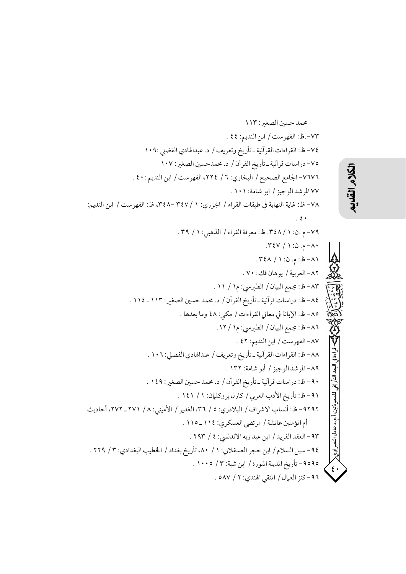محمد حسين الصغير: ١١٣ ٧٣-.ظ: الفهرست / ابن النديم: ٤٤ . ٧٤- ظ: القراءات القرآنية ـ تأريخ وتعريف / د. عبدالهادي الفضلي :١٠٩ ٧٥- دراسات قرآنية ـ تأريخ القرآن / د. محمدحسين الصغير: ١٠٧ ٧٦٧٦- الجامع الصحيح / البخاري: ٦ / ٢٢٤، الفهرست / ابن النديم : ٤٠ . ٧٧ المرشد الوجيز / ابو شامة: ١٠١ . ٧٨- ظ: غاية النهاية في طبقات القراء / الجزري: ١ / ٣٤٧ -٤٢٨، ظ: الفهرست / ابن النديم:  $\cdot$  {  $\cdot$ ٧٩-م .ن: ١ / ٣٤٨. ظ: معرفة القراء / الذهبي: ١ / ٣٩. ۸۰– م. ن: ۱ / ۴٤٧. ٨١-ظ: م. ن: ١ / ٣٤٨. ٨٢- العربية / يوهان فك: ٧٠. ٨٣- ظ: مجمع البيان / الطبرسي: م١ / ١١ . ٨٤- ظ: دراسات قرآنية ـ تأريخ القرآن / د. محمد حسين الصغير : ١١٣ ـ ١١٤ . ٨٥- ظ: الإبانة في معاني القراءات / مكي: ٤٨ وما بعدها . ٨٦- ظ: مجمع البيان / الطبرسي: م١ / ١٢. ٨٧-الفهرست / ابن النديم: ٤٢ . ٨٨- ظ: القراءات القرآنية ـ تأريخ وتعريف / عبدالهادي الفضلي: ١٠٦ . ٨٩-المرشدالوجيز / أبو شامة: ١٣٢ . الىعد التأ، يخبه ٩٠- ظ: دراسات قرآنية ـ تأريخ القرآن / د. محمد حسين الصغير: ١٤٩ . ٩١-ظ: تأريخ الأدب العربي / كارل بروكليان: ١ / ١٤١ . للمعوذتين ٩٢٩٢ – ظ: أنساب الاشراف / البلاذري: ٥ / ٣٦، الغدير / الأميني: ٨ / ٢٧١ ـ ٢٧٢، أحاديث أ.م.د عادل النصر اوي< أم المؤمنين عائشة / مرتضى العسكري: ١١٤\_١١٥ . ٩٣-العقد الفريد / ابن عبد ربه الاندلسي: ٤ / ٢٩٣ . ٩٤- سبل السلام / ابن حجر العسقلاني: ١ / ٨٠، تأريخ بغداد / الخطيب البغدادي: ٣ / ٢٢٩ . ٩٥٩٥ - تأريخ المدينة المنورة / ابن شبة: ٧ / ١٠٠٥ . ٩٦- كنز العمال / المتقى الهندي: ٢ / ٥٨٧ .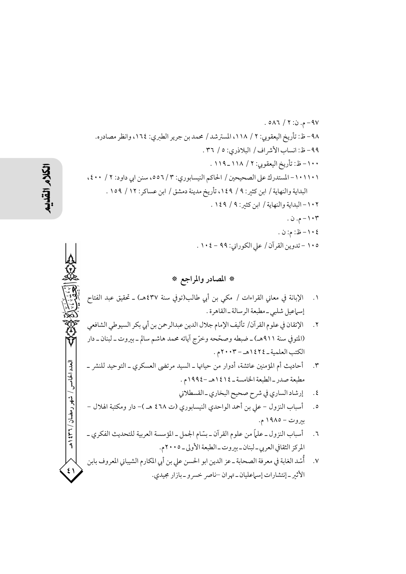### \* المصادر والمراجع \*

- ١. الإبانة في معاني القراءات / مكى بن أبي طالب(توفي سنة ٤٣٧هـ) ـ تحقيق عبد الفتاح إسباعيل شلبي -مطبعة الر سالة -القاهرة .
- الإتقان في علوم القرآن/ تأليف الإمام جلال الدين عبدالرحمن بن أبي بكر السيوطي الشافعي  $\cdot$   $\cdot$   $\cdot$ (المتوفى سنة ٩١١هـ) ــ ضبطه وصحّحه وخرّج آياته محمد هاشم سالم ــ بيروت ــ لبنان ــ دار الكتب العلمية \_ ١٤٢٤هـ - ٢٠٠٣م .
- أحاديث أم المؤمنين عائشة، أدوار من حياتها ـ السيد مرتضى العسكري ـ التوحيد للنشر ـ  $\cdot$ مطبعة صدر \_الطبعة الخامسة \_ ١٤١٤هـ -١٩٩٤م .
	- إرشاد الساري في شرح صحيح البخاري ـ القسطلاني  $\cdot$  {
- أسباب النزول علي بن أحمد الواحدي النيسابوري (ت ٤٦٨ هـ )– دار ومكتبة الهلال  $\cdot$  0 بيروت – ١٩٨٥ م.
- أسباب النزول ـ علماً من علوم القرآن ـ بسّام الجمل ـ المؤسسة العربية للتحديث الفكري ـ  $\mathbf{r}$ . المركز الثقافي العربي ــ لبنان ــ بيروت ــ الطبعة الأولى ــ ٢٠٠٥م.
- ٧. أُسْد الغابة في معرفة الصحابة ــ عز الدين ابو الحسن علي بن أبي المكارم الشيباني المعروف بابن الأثير ـ إنتشارات إسهاعليان ـ تهران –ناصر خسرو ـ بازار مجيدي.

العدد الخامس / شهر رمضان / ۳۲ ه

 $\epsilon$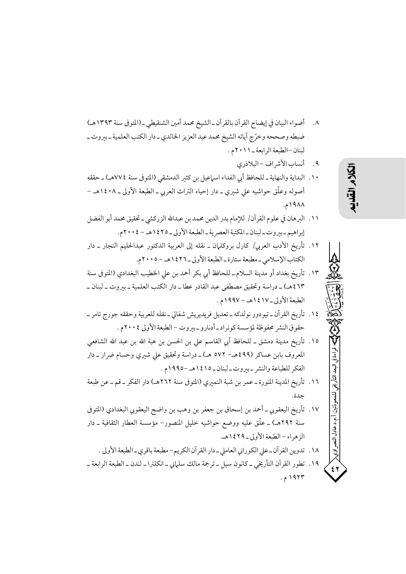- ٨. أضواء البيان في إيضاح القرآن بالقرآن ـ الشيخ محمد أمين الشنقيطي ـ (المتوفى سنة ١٣٩٣هـ) ضبطه وصححه وخرّج أياته الشيخ محمد عبد العزيز الخالدي ـ دار الكتب العلمية ـ بيروت ـ لبنان –الطبعة الرابعة \_ ١ ١ ٢ ٢ م .
	- ٩. أنساب الأشراف البلاذري
- ١٠. البداية والنهاية ـ للحافظ أبي الفداء اسهاعيل بن كثير الدمشقى (المتو في سنة ٧٧٤هـ) ـ حققه أصوله وعلَّق حواشيه على شيري ــ دار إحياء التراث العربي ــ الطبعة الأولى ــ ١٤٠٨هـ – ۱۹۸۸م.
- ١١. البرهان في علوم القرآن/ للإمام بدر الدين محمد بن عبدالله الزركشي ـ تحقيق محمد أبو الفضل إبراهيم-بيروت-لبنان-المكتبة العصرية-الطبعة الأولى-١٤٢٥هـ - ٢٠٠٤م.
- ١٢. تأريخ الأدب العربي/ كارل بروكلهان ــ نقله إلى العربية الدكتور عبدالحليم النجار ــ دار الكتاب الإسلامي \_مطبعة ستارة \_ الطبعة الأولى \_ ١٤٢٦هـ - ٢٠٠٥م.
- ١٣. تأريخ بغداد أو مدينة السلام ـ للحافظ أي بكر أحمد بن على الخطيب البغدادي (المتوفى سنة ٤٦٣ هـ) ـ دراسة وتحقيق مصطفى عبد القادر عطا ـ دار الكتب العلمية ـ بيروت ـ لبنان ـ الطبعة الأولى-١٤١٧هـ-١٩٩٧م.
- ١٤. تأريخ القرآن ــ تيودور نولدكه ــ تعديل فريديريش شفالي ــ نقله للعربية وحققه جورج تامر ــ حقوق النشر محفوظة لمؤسسة كونراد\_أدنارو\_بيروت –الطبعة الأولى ٢٠٠٤م .
- ١٥. تأريخ مدينة دمشق ــ للحافظ أبي القاسم على بن الحسن بن هبة الله بن عبد الله الشافعي المعروف بابن عساكر (٤٩٩هـ– ٥٧٢ هـ) ـ دراسة وتحقيق على شيري وحسام ضرار ـ دار الفكر للطباعة والنشر -بيروت-لبنان-١٤١٥هـ-١٩٩٥م.
- ١٦. تأريخ المدينة المنورة ـ عمر بن شبة النميري (المتوفى سنة ٢٦٢هـ) دار الفكر ـ قم ـ عن طبعة حدة.
- ١٧. تأريخ اليعقوبي ــ أحمد بن إسحاق بن جعفر بن وهب بن واضح اليعقوبي البغدادي (المتوفى سنة ٢٩٢هـ) ــ علَّق عليه ووضع حواشيه خليل المنصور– مؤسسة العطار الثقافية ــ دار الزهراء – الطبعة الأولى \_ ٢٩ ١٤٢٩هـ.
	- ١٨. تدوين القرآن ـ على الكوراني العاملي ـ دار القرآن الكريم- مطبعة باقرى ـ الطبعة الأولى .
- ١٩. تطور القرآن التأريخي ــ كانون سيل ــ ترجمة مالك سلماني ــ انكلترا ــ لندن ــ الطبعة الرابعة ــ ۱۹۲۳ م.

قه اءة في

أ.م.د عادل النصر اوي<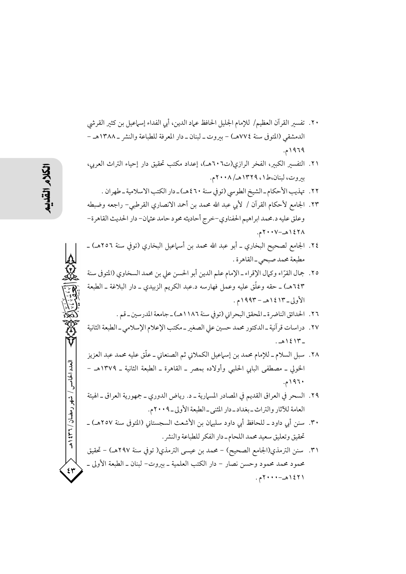- ٢٠. تفسير القرآن العظيم/ للإمام الجليل الحافظ عياد الدين، أي الفداء إسياعيل بن كثير القرشي الدمشقي (المتوفى سنة ٧٧٤هـ) – بيروت ـ لبنان ـ دار المعرفة للطباعة والنشر ـ ١٣٨٨هـ – ۱۹۶۹م.
- ٢١. التفسير الكبير، الفخر الرازى(ت٦٠٦هـ)، إعداد مكتب تحقيق دار إحياء التراث العربي، بيروت، لبنان،ط١، ١٣٢٩هـ/ ٢٠٠٨م.
	- ٢٢. تهذيب الأحكام ـ الشيخ الطوسي (تو في سنة ٤٦٠هـ) ـ دار الكتب الاسلامية ـ طهران .
- ٢٣. الجامع لأحكام القرآن / لأبي عبد الله محمد بن أحمد الانصاري القرطبي- راجعه وضبطه وعلق عليه د.محمد ابراهيم الحفناوي-خرج أحاديثه محود حامد عثمان- دار الحديث القاهرة-١٤٢٨هـ-٢٠٠٧م.
- ٢٤. الجامع لصحيح البخاري ـ أبو عبد الله محمد بن أسماعيل البخاري (توفى سنة ٢٥٦هـ) ـ مطبعة محمد صبحي\_القاهرة .
- ٢٥. جمال القرَّاء وكمال الإقراء ـ الإمام علم الدين أبو الحسن على بن محمد السخاوي (المتوفى سنة ١٤٣هـ) ــ حقه وعلَّق عليه وعمل فهارسه د.عبد الكريم الزبيدي ــ دار البلاغة ــ الطبعة الأولى \_١٤١٣هـ – ١٩٩٣م .
	- ٢٦. الحدائق الناضرة-المحقق البحراني (توفي سنة ١١٨٦هـ) ـ جامعة المدرسين ـ قم .
- ٢٧. دراسات قرآنية ـ الدكتور محمد حسين على الصغير ـ مكتب الإعلام الإسلامي ـ الطبعة الثانية  $.201218$
- ٢٨. سبل السلام ـ للإمام محمد بن إسماعيل الكملاني ثم الصنعاني ـ علَّق عليه محمد عبد العزيز الخولي ــ مصطفى البابي الحلبي وأولاده بمصر ــ القاهرة ــ الطبعة الثانية ــ ١٣٧٩هـ – ۱۹۶۰م.
- ٢٩. السحر في العراق القديم في المصادر المسارية ـ د. رياض الدوري ـ جمهورية العراق ـ الهيئة العامة للآثار والتراث ـ بغداد ـ دار المثنى ـ الطبعة الأولى ـ ٢٠٠٩م.
- ٣٠. سنن أبي داود ــ للحافظ أبي داود سليهان بن الأشعث السجستاني (المتوفى سنة ٢٥٧هـ) ــ تحقيق وتعليق سعيد محمد اللحام\_دار الفكر للطباعة والنشر .
- ٣١. سنن الترمذي(الجامع الصحيح) محمد بن عيسى الترمذي( توفي سنة ٢٩٧هـ) تحقيق محمود محمد محمود وحسن نصار – دار الكتب العلمية ــ بيروت– لبنان ــ الطبعة الأولى ــ  $.7$   $12316 - 1279$ .

العدد الخامس / شهر رمضان / ۳۲ ه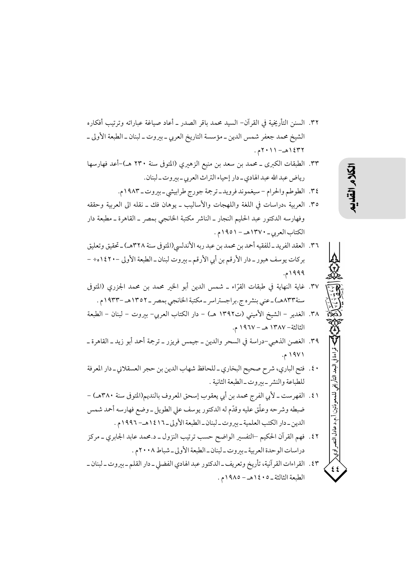- ٣٢. السنن التأريخية في القرآن- السيد محمد باقر الصدر \_ أعاد صياغة عباراته وترتيب أفكاره الشيخ محمد جعفر شمس الدين ــ مؤسسة التاريخ العربي ــ بيروت ــ لبنان ــ الطبعة الأولى ــ ١٤٣٢هـ - ٢٠١١م.
- ٣٣. الطبقات الكبرى ــ محمد بن سعد بن منيع الزهيري (المتوفى سنة ٢٣٠ هـ)-أعد فهارسها رياض عبد الله عبد الهادي ـ دار إحياء التراث العربي ـ بيروت ـ لبنان.
	- ٣٤. الطوطم والحرام سيغموند فرويد ـ ترجمة جورج طرابيشي ـ بيروت ـ ١٩٨٣م.
- ٣٥. العربية ،دراسات في اللغة واللهجات والأساليب ــ يوهان فك ــ نقله الى العربية وحققه وفهارسه الدكتور عبد الحليم النجار ـ الناشر مكتبة الخانجى بمصر ـ القاهرة ـ مطبعة دار الكتاب العربي - ١٣٧٠هـ - ١٩٥١م.
- ٣٦. العقد الفريد\_للفقيه أحمد بن محمد بن عبد ربه الأندلسي(المتوفي سنة ٣٢٨هـ)\_تحقيق وتعليق بركات يوسف هبور ـ دار الأرقم بن أبي الأرقم ـ بيروت لبنان ـ الطبعة الأولى –١٤٢٠ه÷ – ۱۹۹۹.
- ٣٧. غاية النهاية في طبقات القرَّاء ــ شمس الدين أبو الخير محمد بن محمد الجزرى (المتوفى سنة١٣٣هـ) ـ عني بنشره ج.براجستراسر ـ مكتبة الخانجي بمصر ـ ١٣٥٢هـ –١٩٣٣م .
- ٣٨. الغدير الشيخ الأميني (ت١٣٩٢ هـ) دار الكتاب العربي– بيروت لبنان الطبعة الثالثة – ١٣٨٧ هـ – ١٩٦٧ م.
- ٣٩. الغصن الذهبي-دراسة في السحر والدين ــ جيمس فريزر ــ ترجمة أحمد أبو زيد ــ القاهرة ــ ۱۹۷۱ م.
- ٤٠. فتح الباري، شرح صحيح البخاري ـ للحافظ شهاب الدين بن حجر العسقلاني ـ دار المعرفة للطباعة والنشر ـ بيروت ـ الطبعة الثانية .
- ٤١. الفهرست ـ لأبي الفرج محمد بن أبي يعقوب إسحق المعروف بالنديم(المتوفى سنة ٣٨٠هـ) ضبطه وشرحه وعلَّق عليه وقدَّم له الدكتور يوسف على الطويل ـ وضع فهارسه أحمد شمس الدين \_ دار الكتب العلمية \_ بيروت \_ لبنان \_ الطبعة الأولى \_ ١٤١٦هـ - ١٩٩٢م .
- ٤٢. فهم القرآن الحكيم –التفسير الواضح حسب ترتيب النزول ـ د.محمد عابد الجابري ـ مركز دراسات الوحدة العربية \_بيروت\_لبنان\_الطبعة الأولى\_شباط ٢٠٠٨م .
- ٤٣. القراءات القرآنية، تأريخ وتعريف ـ الدكتور عبد الهادي الفضلي ـ دار القلم ـ بيروت ـ لبنان ـ الطبعة الثالثة \_0 • ١٤ هـ - ١٩٨٥م .

البعد التأريخ

للمعوذتين

أ.م.د عادل النصر اوي<

 $55$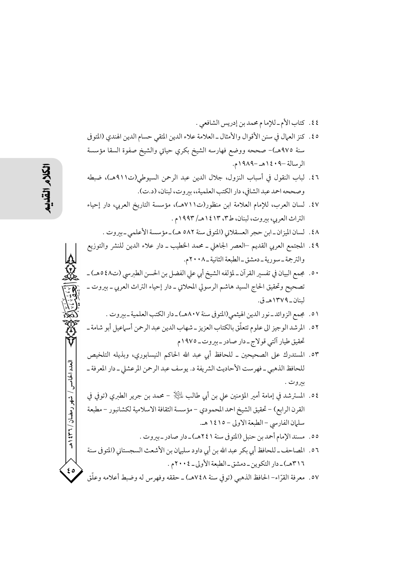- ٤٤. كتاب الأم-للإما م محمد بن إدريس الشافعي .
- ٥٤. كنز العمال في سنن الأقوال والأمثال ـ العلامة علاء الدين المتقى حسام الدين الهندي (المتوفى سنة ٩٧٥هـ)– صححه ووضع فهارسه الشيخ بكرى حياتى والشيخ صفوة السقا مؤسسة الرسالة -٩٠٤١هـ-١٩٨٩م.
- ٤٦. لباب النقول في أسباب النزول، جلال الدين عبد الرحمن السيوطي(ت٩١١هـ)، ضبطه وصححه احمد عبد الشافي، دار الكتب العلمية،، بيروت، لبنان، (د.ت).
- ٤٧. لسان العرب، للإمام العلامة ابن منظور(ت٧١١هـ)، مؤسسة التاريخ العربي، دار إحياء التراث العربي، بيروت، لبنان، ط٣، ١٤١٣هـ/ ١٩٩٣م .
	- ٤٨. لسان الميزان\_ابن حجر العسقلاني (المتوفى سنة ٥٨٢ هـ)\_مؤسسة الأعلمي\_بيروت .
- ٤٩. المجتمع العربي القديم –العصر الجاهلي ــ محمد الخطيب ــ دار علاء الدين للنشر والتوزيع والترجمة \_ سو رية \_ دمشق \_ الطبعة الثانية \_ ٢٠٠٨م.
- ٥٠. مجمع البيان في تفسير القر آن ـ لمؤلفه الشيخ أبي على الفضل بن الحسن الطيرسي (ت٤٨ههـ) ـ تصحيح وتحقيق الحاج السيد هاشم الرسولي المحلاتي ــ دار إحياء التراث العربي ــ بيروت ــ لبنان\_۱۳۷۹هـ ق.
	- ٥١. مجمع الزوائد\_نور الدين الهيثمي(المتوفي سنة ٨٠٧هـ)\_دار الكتب العلمية\_بيروت .
- ٥٢ . المرشد الوجيز الى علوم تتعلَّق بالكتاب العزيز ـ شهاب الدين عبد الرحمن أسماعيل أبو شامة ـ تحقيق طيار آلتي قولاج-دار صادر-بيروت-١٩٧٥م
	- ٥٣. المستدرك على الصحيحين \_ للحافظ أبي عبد الله الحاكم النيسابوري، وبذيله التلخيص للحافظ الذهبي ــ فهرست الأحاديث الشريفة د. يوسف عبد الرحمن المرعشلي ــ دار المعرفة ــ بيروت .
	- ٥٤. المسترشد في إمامة أمير المؤمنين علي بن أبي طالب للَّخِلَا محمد بن جرير الطبري (توفي في القرن الرابع) – تحقيق الشيخ احمد المحمودي – مؤسسة الثقافة الاسلامية لكشانبور – مطبعة سلمان الفارسي - الطبعة الاولي - ١٤١٥ هـ.
		- ٥٥. مسند الإمام أحمد بن حنبل (المتوفى سنة ٢٤١هـ) ـ دار صادر ـ بيروت .
- ٥٦ . المصاحف ـ للحافظ أبي بكر عبد الله بن أبي داود سليهان بن الأشعث السجستاني (المتوفى سنة ٣١٦هـ) \_ دار التكوين \_ دمشق \_ الطبعة الأولى \_ ٢٠٠٤م .
- ٥٧. معرفة القرّاء– الحافظ الذهبي (توفي سنة ٧٤٨هـ) ــ حققه وفهرس له وضبط أعلامه وعلّق

العدد الخامس / شهر رمضان / ۳۲ \$ ۱ هـ

 $\epsilon$  0